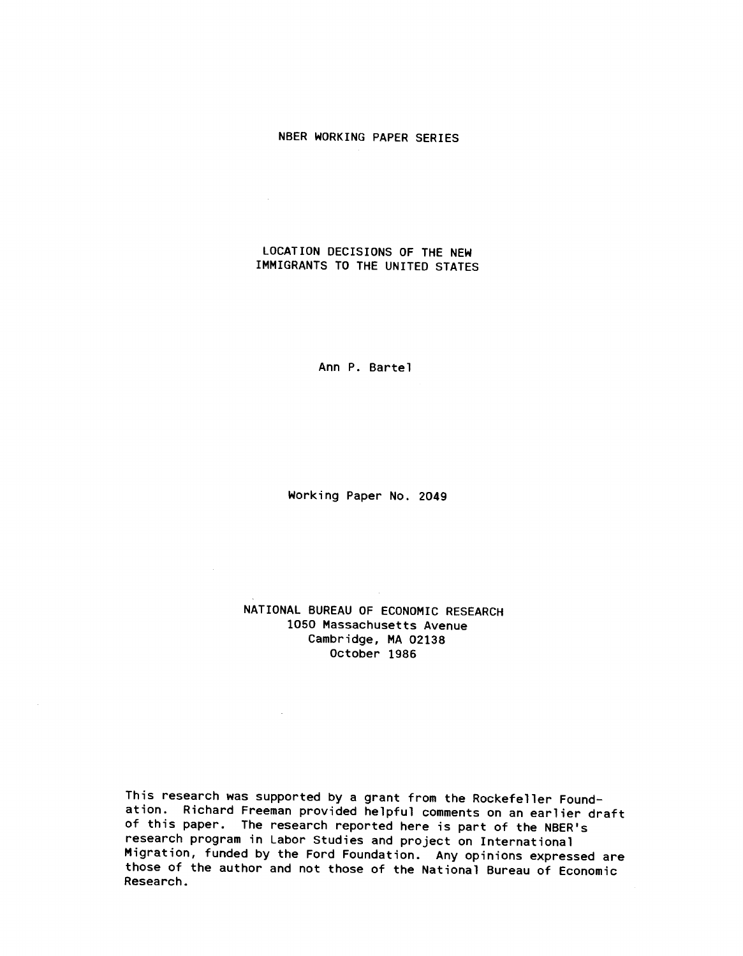#### NBER WORKING PAPER SERIES

## LOCATION DECISIONS OF THE NEW IMMIGRANTS TO THE UNITED STATES

 $\mathcal{L}(\mathcal{L}^{\text{max}})$  .

 $\sim$ 

 $\sim 10^{11}$  km  $^{-1}$ 

Ann P. Bartel

Working Paper No. 2049

## NATIONAL BUREAU OF ECONOMIC RESEARCH 1050 Massachusetts Avenue Cambridge, MA 02138 October 1986

This research was supported by a grant from the Rockefeller Foundation. Richard Freeman provided helpful comments on an earlier draft of this paper. The research reported here is part of the NBER's research program in Labor Studies and project on International Migration, funded by the Ford Foundation. Any opinions expressed are those of the author and not those of the National Bureau of Economic Research.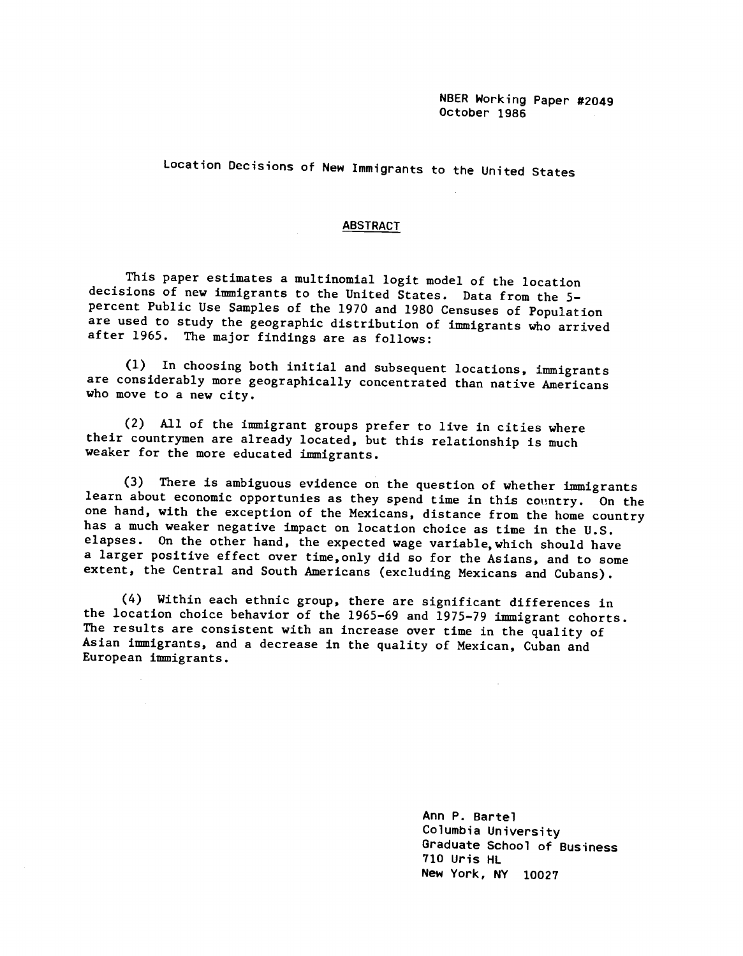Location Decisions of New Immigrants to the United States

#### ABSTRACT

This paper estimates a multinomial logit model of the location decisions of new Immigrants to the United States. Data from the 5 percent Public Use Samples of the 1970 and 1980 Censuses of Population are used to study the geographic distribution of immigrants who arrived after 1965. The major findings are as follows:

(1) In choosing both initial and subsequent locations, immigrants are considerably more geographically concentrated than native Americans who move to a new city.

(2) All of the immigrant groups prefer to live In cities where their countrymen are already located, but this relationship is much weaker for the more educated immigrants.

(3) There is ambiguous evidence on the question of whether immigrants learn about economic opportunies as they spend time in this country. On the one hand, with the exception of the Mexicans, distance from the home country has a much weaker negative impact on location choice as time in the U.S. elapses. On the other hand, the expected wage variable,which should have a larger positive effect over time,only did so for the Asians, and to some extent, the Central and South Americans (excluding Mexicans and Cubans).

(4) Within each ethnic group, there are significant differences in the location choice behavior of the 1965—69 and 1975—79 immigrant cohorts. The results are consistent with an increase over time in the quality of Asian immigrants, and a decrease in the quality of Mexican, Cuban and European immigrants.

> Ann P. Bartel Columbia University Graduate School of Business 710 Uris HL New York, NY 10027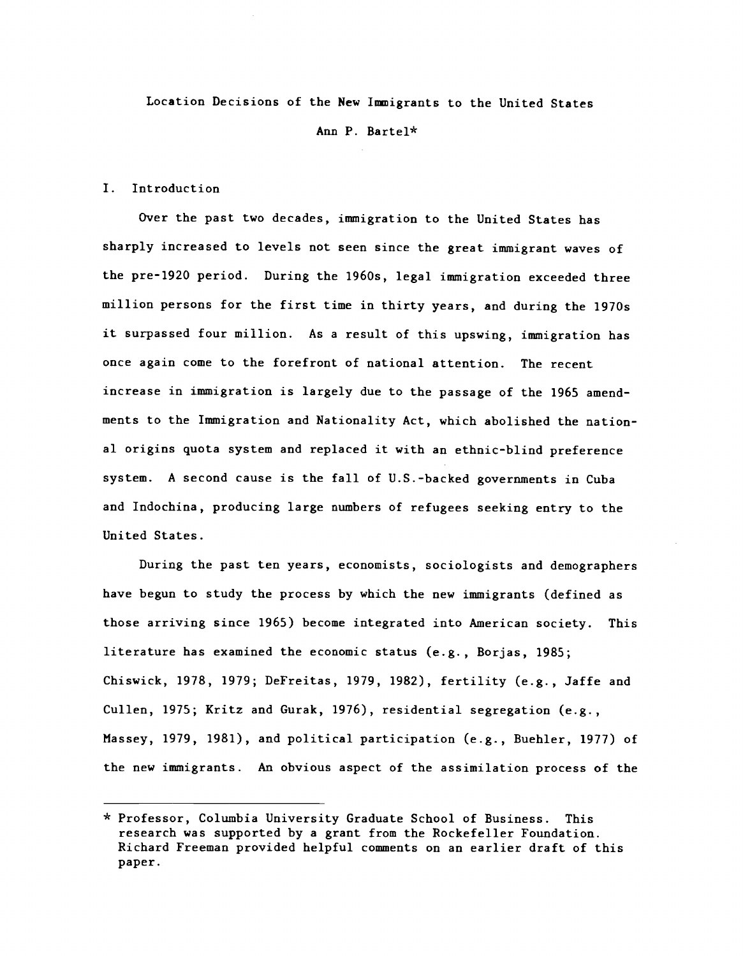Location Decisions of the New Immigrants to the United States

Ann P. Bartel\*

#### I. Introduction

Over the past two decades, immigration to the United States has sharply increased to levels not seen since the great immigrant waves of the pre-1920 period. During the 1960s, legal immigration exceeded three million persons for the first time in thirty years, and during the 1970s it surpassed four million. As a result of this upswing, immigration has once again come to the forefront of national attention. The recent increase in immigration is largely due to the passage of the 1965 amendments to the Immigration and Nationality Act, which abolished the national origins quota system and replaced it with an ethnic-blind preference system. A second cause is the fall of U.S. -backed governments in Cuba and Indochina, producing large numbers of refugees seeking entry to the United States.

During the past ten years, economists, sociologists and demographers have begun to study the process by which the new immigrants (defined as those arriving since 1965) become integrated into American society. This literature has examined the economic status (e.g., Borjas, 1985; Chiswick, 1978, 1979; DeFreitas, 1979, 1982), fertility (e.g., Jaffe and Cullen, 1975; Kritz and Gurak, 1976), residential segregation (e.g., Massey, 1979, 1981), and political participation (e.g., Buehler, 1977) of the new immigrants. An obvious aspect of the assimilation process of the

<sup>\*</sup> Professor, Columbia University Graduate School of Business. This research was supported by a grant from the Rockefeller Foundation. Richard Freeman provided helpful comments on an earlier draft of this paper.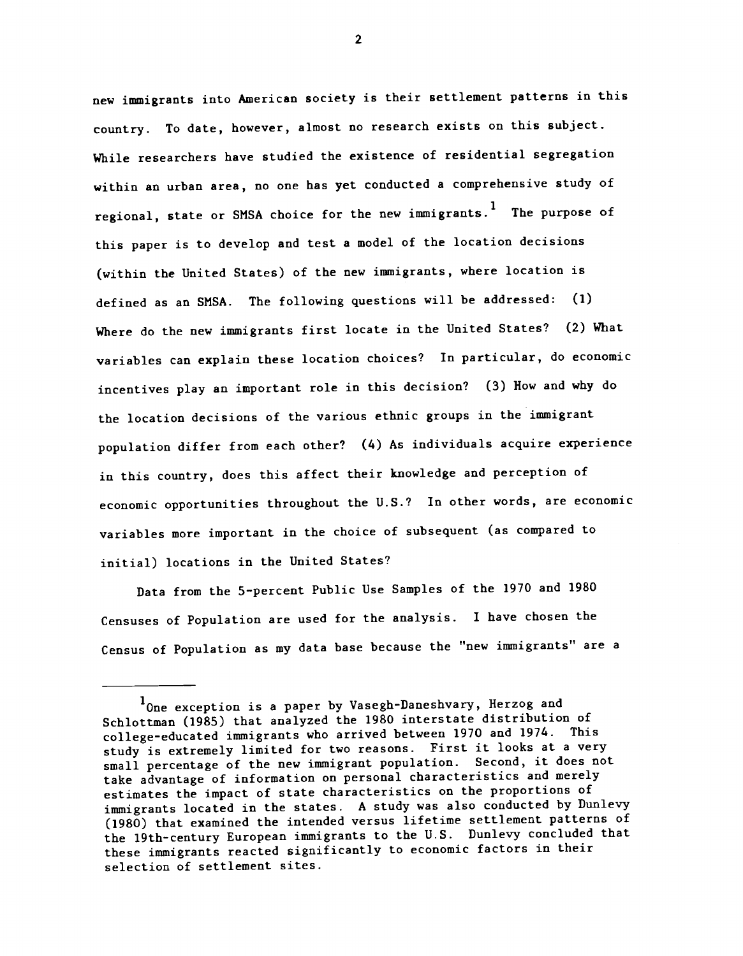new immigrants into American society is their settlement patterns in this country. To date, however, almost no research exists on this subject. While researchers have studied the existence of residential segregation within an urban area, no one has yet conducted a comprehensive study of regional, state or SMSA choice for the new immigrants.<sup>1</sup> The purpose of this paper is to develop and test a model of the location decisions (within the United States) of the new immigrants, where location is defined as an SMSA. The following questions will be addressed: (1) Where do the new immigrants first locate in the United States? (2) What variables can explain these location choices? In particular, do economic incentives play an important role in this decision? (3) How and why do the location decisions of the various ethnic groups in the immigrant population differ from each other? (4) As individuals acquire experience in this country, does this affect their knowledge and perception of economic opportunities throughout the U.S.? In other words, are economic variables more important in the choice of subsequent (as compared to initial) locations in the United States?

Data from the 5—percent Public Use Samples of the 1970 and 1980 Censuses of Population are used for the analysis. I have chosen the Census of Population as my data base because the "new immigrants" are a

<sup>&</sup>lt;sup>1</sup>One exception is a paper by Vasegh-Daneshvary, Herzog and Schlottman (1985) that analyzed the 1980 interstate distribution of college-educated immigrants who arrived between 1970 and 1974. This study is extremely limited for two reasons. First it looks at a very small percentage of the new immigrant population. Second, it does not take advantage of information on personal characteristics and merely estimates the impact of state characteristics on the proportions of immigrants located in the states. A study was also conducted by Dunlevy (1980) that examined the intended versus lifetime settlement patterns of the 19th-century European immigrants to the U.S. Dunlevy concluded that these immigrants reacted significantly to economic factors in their selection of settlement sites.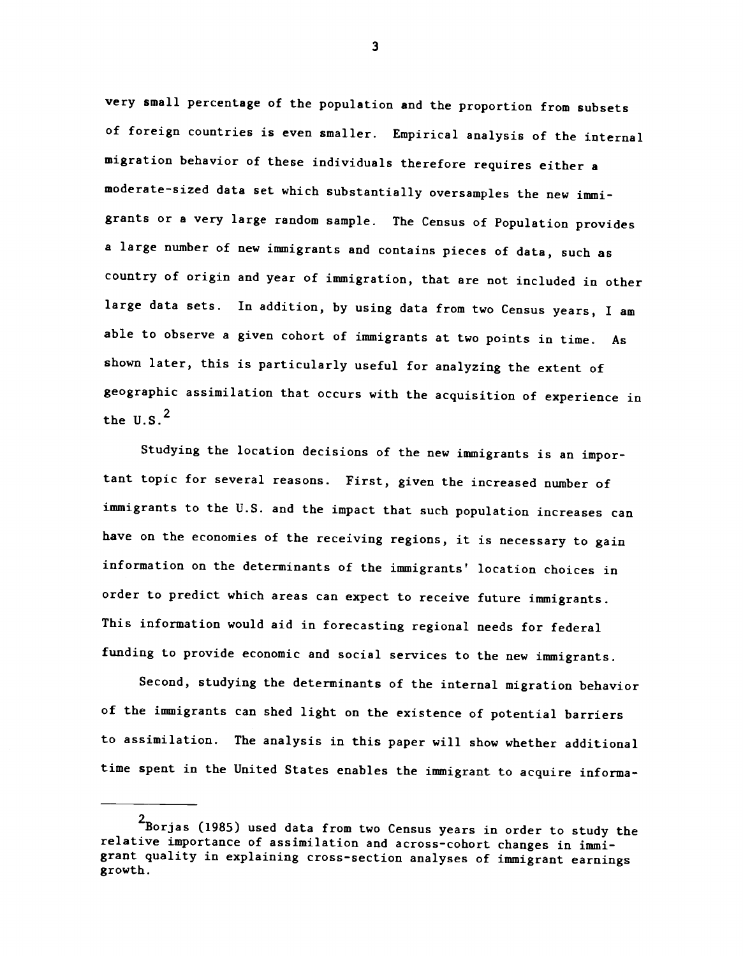very small percentage of the population and the proportion from subsets of foreign countries is even smaller. Empirical analysis of the internal migration behavior of these individuals therefore requires either <sup>a</sup> moderate-sized data set which substantially oversamples the new immigrants or a very large random sample. The Census of Population provides a large number of new immigrants and contains pieces of data, such as country of origin and year of immigration, that are not included in other large data sets. In addition, by using data from two Census years, I am able to observe a given cohort of immigrants at two points in time. As shown later, this is particularly useful for analyzing the extent of geographic assimilation that occurs with the acquisition of experience in the  $U.S.<sup>2</sup>$ 

Studying the location decisions of the new immigrants is an important topic for several reasons. First, given the increased number of immigrants to the U.S. and the impact that such population increases can have on the economies of the receiving regions, it is necessary to gain information on the determinants of the immigrants' location choices in order to predict which areas can expect to receive future immigrants. This information would aid in forecasting regional needs for federal funding to provide economic and social services to the new immigrants.

Second, studying the determinants of the internal migration behavior of the immigrants can shed light on the existence of potential barriers to assimilation. The analysis in this paper will show whether additional time spent in the United States enables the immigrant to acquire informa-

<sup>2&</sup>lt;br>Borjas (1985) used data from two Census years in order to study the relative importance of assimilation and across-cohort changes in immigrant quality in explaining cross-section analyses of immigrant earnings growth.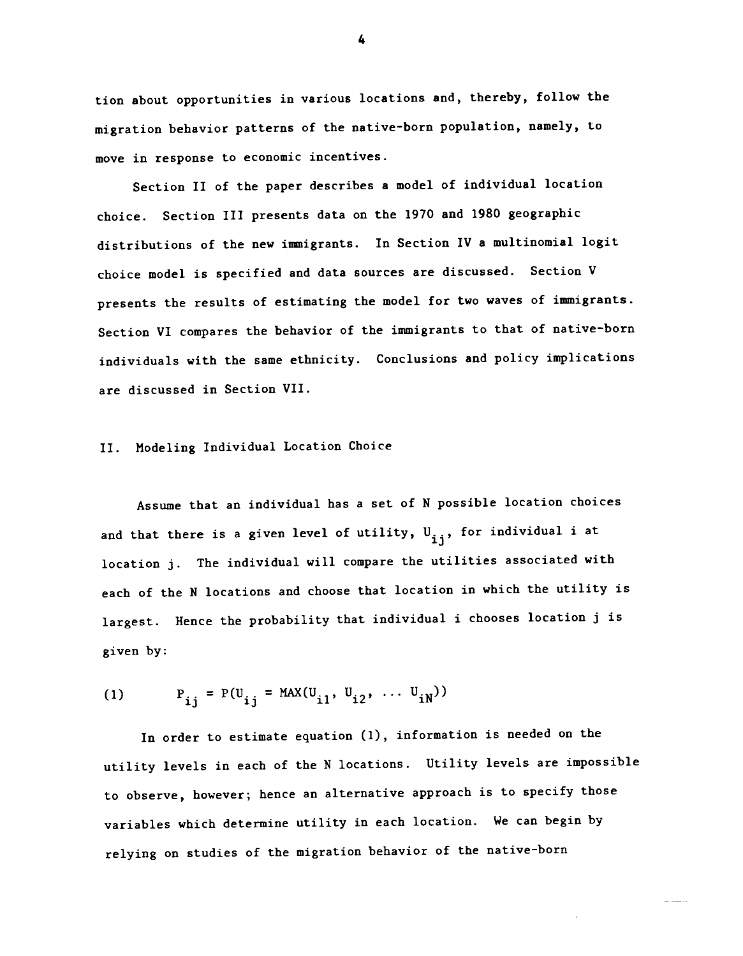tion about opportunities in various locations and, thereby, follow the migration behavior patterns of the native-born population, namely, to move in response to economic incentives.

Section II of the paper describes a model of individual location choice. Section III presents data on the 1970 and 1980 geographic distributions of the new immigrants. In Section IV a multinomial logit choice model is specified and data sources are discussed. Section V presents the results of estimating the model for two waves of immigrants. Section VI compares the behavior of the immigrants to that of native-born individuals with the same ethnicity. Conclusions and policy implications are discussed in Section VII.

#### II. Modeling Individual Location Choice

Assume that an individual has a set of N possible location choices and that there is a given level of utility,  $U_{i,i}$ , for individual i at location j. The individual will compare the utilities associated with each of the N locations and choose that location in which the utility is largest. Hence the probability that individual i chooses location j is given by:

(1) 
$$
P_{ij} = P(U_{ij} = MAX(U_{i1}, U_{i2}, ... U_{iN}))
$$

In order to estimate equation (1), information is needed on the utility levels in each of the N locations. Utility levels are impossible to observe, however; hence an alternative approach is to specify those variables which determine utility in each location. We can begin by relying on studies of the migration behavior of the native-born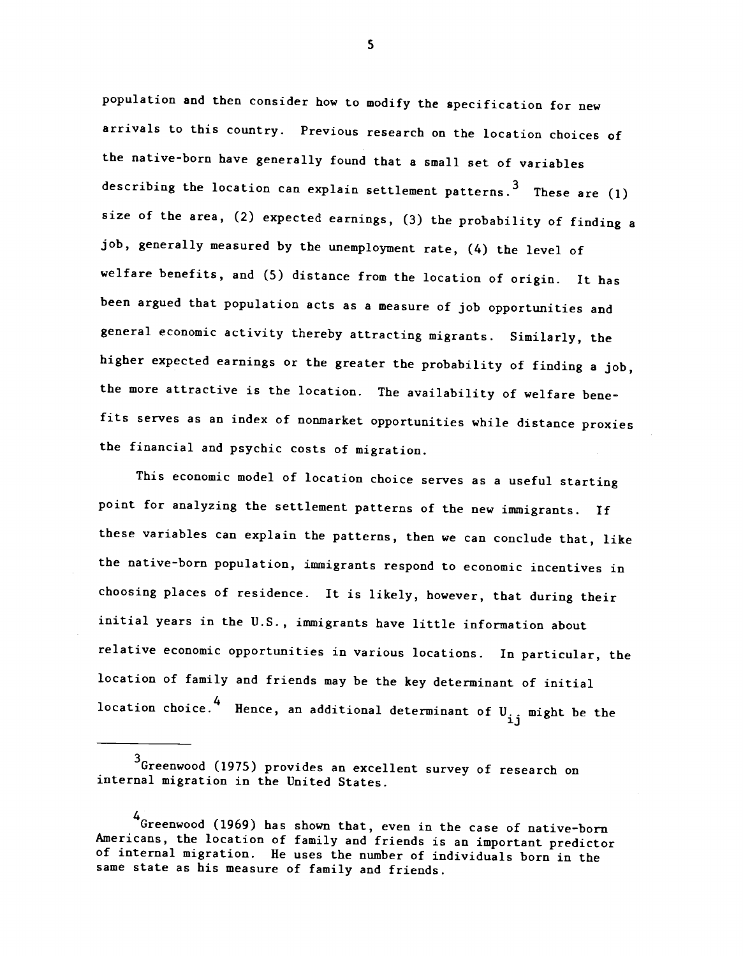population and then consider how to modify the specification for new arrivals to this country. Previous research on the location choices of the native-born have generally found that a small set of variables describing the location can explain settlement patterns.  $3$  These are (1) size of the area, (2) expected earnings, (3) the probability of finding a job, generally measured by the unemployment rate, (4) the level of welfare benefits, and (5) distance from the location of origin. It has been argued that population acts as a measure of job opportunities and general economic activity thereby attracting migrants. Similarly, the higher expected earnings or the greater the probability of finding a job, the more attractive is the location. The availability of welfare benefits serves as an index of nonmarket opportunities while distance proxies the financial and psychic costs of migration.

This economic model of location choice serves as a useful starting point for analyzing the settlement patterns of the new immigrants. If these variables can explain the patterns, then we can conclude that, like the native-born population, immigrants respond to economic incentives in choosing places of residence. It is likely, however, that during their initial years in the U.S., immigrants have little information about relative economic opportunities in various locations. In particular, the location of family and friends may be the key determinant of initial location choice. Hence, an additional determinant of U<sub>.j</sub> might be the

S

<sup>3</sup>Greenwood (1975) provides an excellent survey of research on internal migration in the United States.

<sup>4</sup>Greenwood (1969) has shown that, even in the case of native-born Americans, the location of family and friends is an important predictor of internal migration. He uses the number of individuals born in the same state as his measure of family and friends.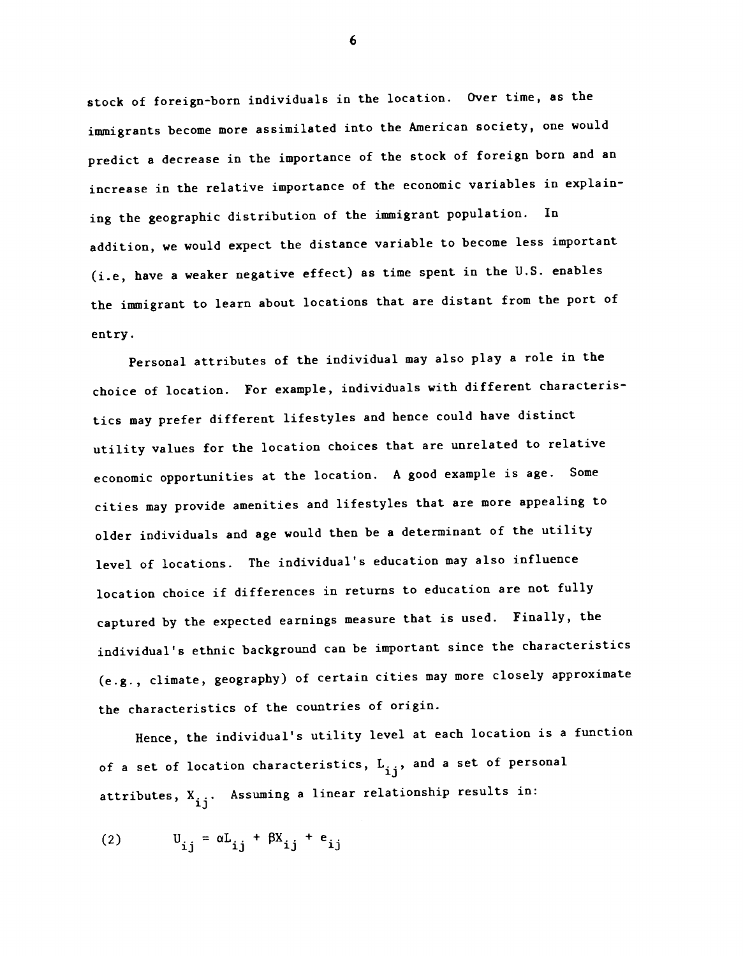stock of foreign-born individuals in the location. Over time, as the immigrants become more assimilated into the American society, one would predict a decrease in the importance of the stock of foreign born and an increase in the relative importance of the economic variables in explaining the geographic distribution of the immigrant population. In addition, we would expect the distance variable to become less important (i.e, have a weaker negative effect) as time spent in the U.S. enables the immigrant to learn about locations that are distant from the port of entry.

Personal attributes of the individual may also play a role in the choice of location. For example, individuals with different characteristics may prefer different lifestyles and hence could have distinct utility values for the location choices that are unrelated to relative economic opportunities at the location. A good example is age. Some cities may provide amenities and lifestyles that are more appealing to older individuals and age would then be a determinant of the utility level of locations. The individual's education may also influence location choice if differences in returns to education are not fully captured by the expected earnings measure that is used. Finally, the individual's ethnic background can be important since the characteristics (e.g., climate, geography) of certain cities may more closely approximate the characteristics of the countries of origin.

Hence, the individual's utility level at each location is a function of a set of location characteristics,  $L_{i,i}$ , and a set of personal attributes,  $X_{i,i}$ . Assuming a linear relationship results in:

$$
(2) \t U_{ij} = \alpha L_{ij} + \beta X_{ij} + e_{ij}
$$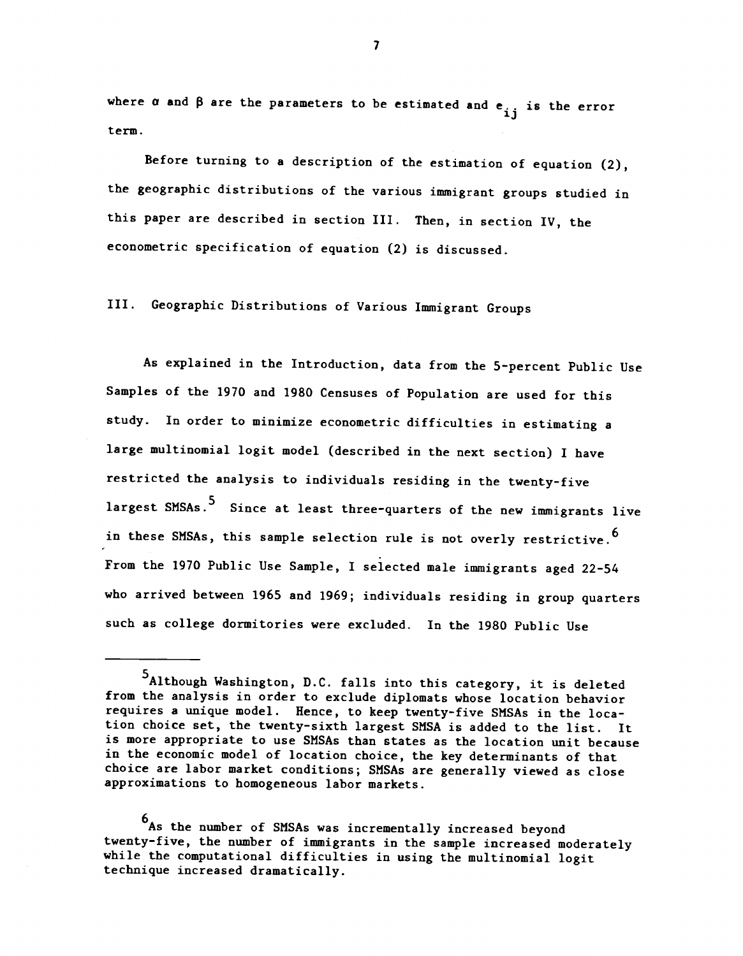where  $\alpha$  and  $\beta$  are the parameters to be estimated and  $e_{i}$  is the error term.

Before turning to a description of the estimation of equation (2), the geographic distributions of the various immigrant groups studied in this paper are described in section III. Then, in section IV, the econometric specification of equation (2) is discussed.

III. Geographic Distributions of Various Immigrant Groups

As explained in the Introduction, data from the 5-percent Public Use Samples of the 1970 and 1980 Censuses of Population are used for this study. In order to minimize econometric difficulties in estimating a large multinomial logit model (described in the next section) I have restricted the analysis to individuals residing in the twenty-five largest SMSAs.<sup>5</sup> Since at least three-quarters of the new immigrants live in these SMSAs, this sample selection rule is not overly restrictive.<sup>6</sup> From the 1970 Public Use Sample, I selected male immigrants aged 22-54 who arrived between 1965 and 1969; individuals residing in group quarters such as college dormitories were excluded. In the 1980 Public Use

6As the number of SMSAs was incrementally increased beyond twenty-five, the number of immigrants in the sample increased moderately while the computational difficulties in using the multinomial logit technique increased dramatically.

<sup>5</sup>Although Washington, D.C. falls into this category, it is deleted from the analysis in order to exclude diplomats whose location behavior requires a unique model. Hence, to keep twenty-five SMSAs in the location choice set, the twenty-sixth largest SMSA is added to the list. It is more appropriate to use SMSAs than states as the location unit because in the economic model of location choice, the key determinants of that choice are labor market conditions; SMSAs are generally viewed as close approximations to homogeneous labor markets.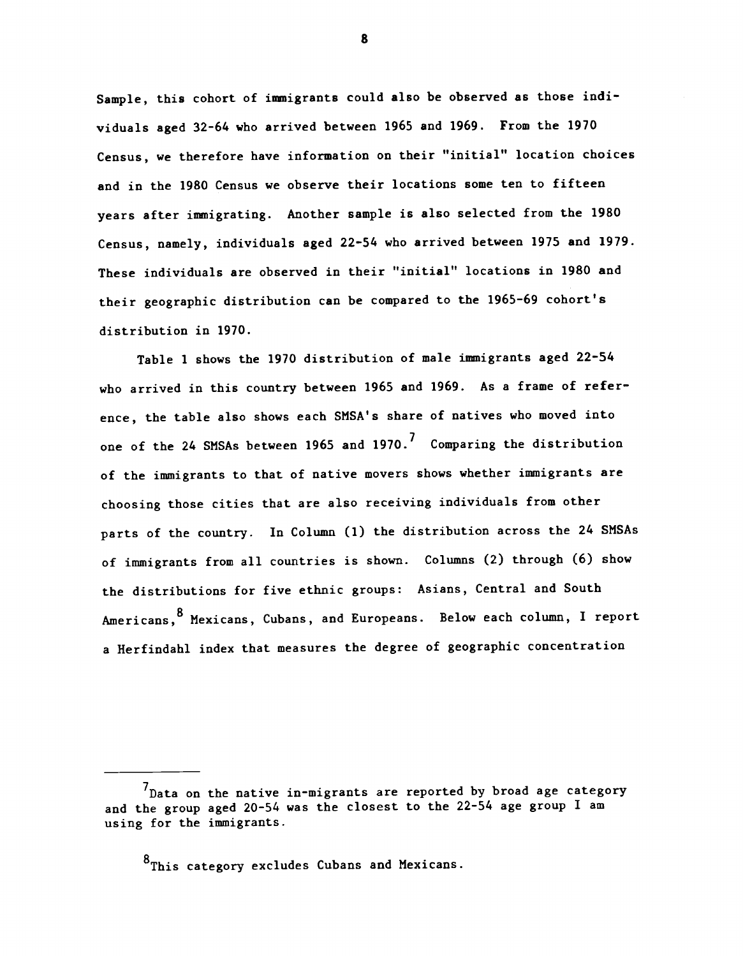Sample, this cohort of immigrants could also be observed as those individuals aged 32-64 who arrived between 1965 and 1969. From the 1970 Census, we therefore have information on their "initial" location choices and in the 1980 Census we observe their locations some ten to fifteen years after immigrating. Another sample is also selected from the 1980 Census, namely, individuals aged 22-54 who arrived between 1975 and 1979. These individuals are observed in their "initial" locations in 1980 and their geographic distribution can be compared to the 1965-69 cohort's distribution in 1970.

Table 1 shows the 1970 distribution of male immigrants aged 22-54 who arrived in this country between 1965 and 1969. As a frame of reference, the table also shows each SMSA's share of natives who moved into one of the 24 SMSAs between 1965 and 1970.<sup>7</sup> Comparing the distribution of the immigrants to that of native movers shows whether immigrants are choosing those cities that are also receiving individuals from other parts of the country. In Column (1) the distribution across the 24 SMSAs of immigrants from all countries is shown. Columns (2) through (6) show the distributions for five ethnic groups: Asians, Central and South Americans, 8 Mexicans, Cubans, and Europeans. Below each column, I report a Herfindahl index that measures the degree of geographic concentration

8<sub>This category excludes Cubans and Mexicans.</sub>

 $^{7}$ Data on the native in-migrants are reported by broad age category and the group aged 20-54 was the closest to the 22-54 age group I am using for the immigrants.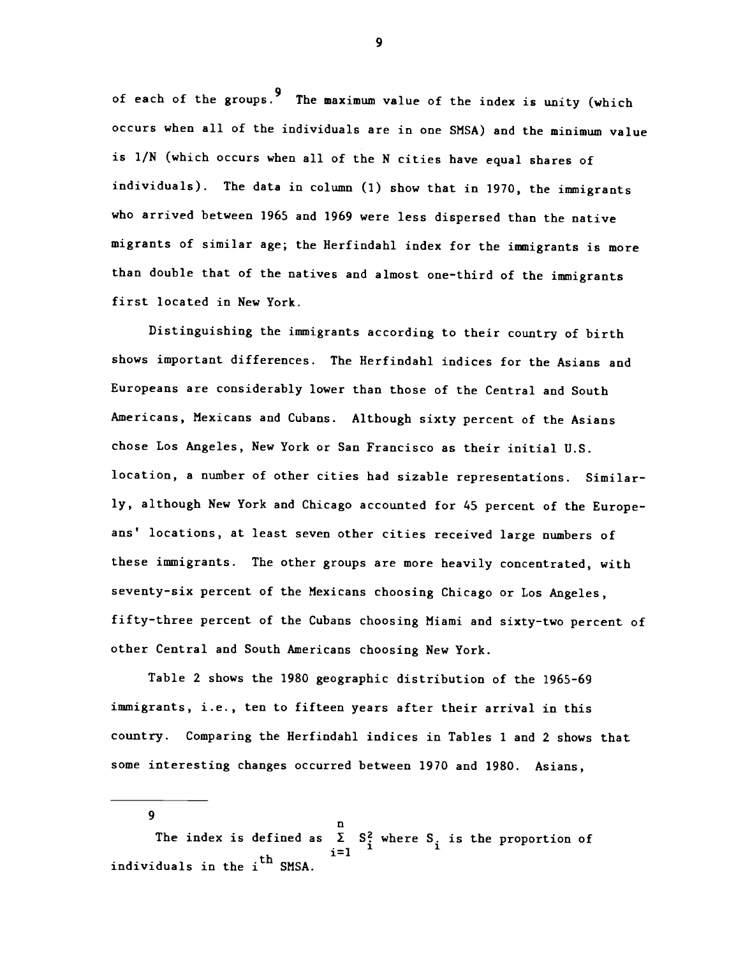of each of the groups.<sup>9</sup> The maximum value of the index is unity (which occurs when all of the individuals are in one SMSA) and the minimum value is 1/N (which occurs when all of the N cities have equal shares of individuals). The data in column (1) show that in 1970, the immigrants who arrived between 1965 and 1969 were less dispersed than the native migrants of similar age; the Herfindahl index for the immigrants is more than double that of the natives and almost one-third of the immigrants first located in New York.

Distinguishing the immigrants according to their country of birth shows important differences. The Herfindahl indices for the Asians and Europeans are considerably lower than those of the Central and South Americans, Mexicans and Cubans. Although sixty percent of the Asians chose Los Angeles, New York or San Francisco as their initial U.S. location, a number of other cities had sizable representations. Similarly, although New York and Chicago accounted for 45 percent of the Europeans' locations, at least seven other cities received large numbers of these immigrants. The other groups are more heavily concentrated, with seventy-six percent of the Mexicans choosing Chicago or Los Angeles, fifty-three percent of the Cubans choosing Miami and sixty-two percent of other Central and South Americans choosing New York.

Table 2 shows the 1980 geographic distribution of the 1965-69 immigrants, i.e., ten to fifteen years after their arrival in this country. Comparing the Herfindahi indices in Tables 1 and 2 shows that some interesting changes occurred between 1970 and 1980. Asians,

9 n The index is defined as  $\Sigma$  S<sup>2</sup> where S<sub>2</sub> is the proportion of individuals in the i<sup>th</sup> SMSA. i=1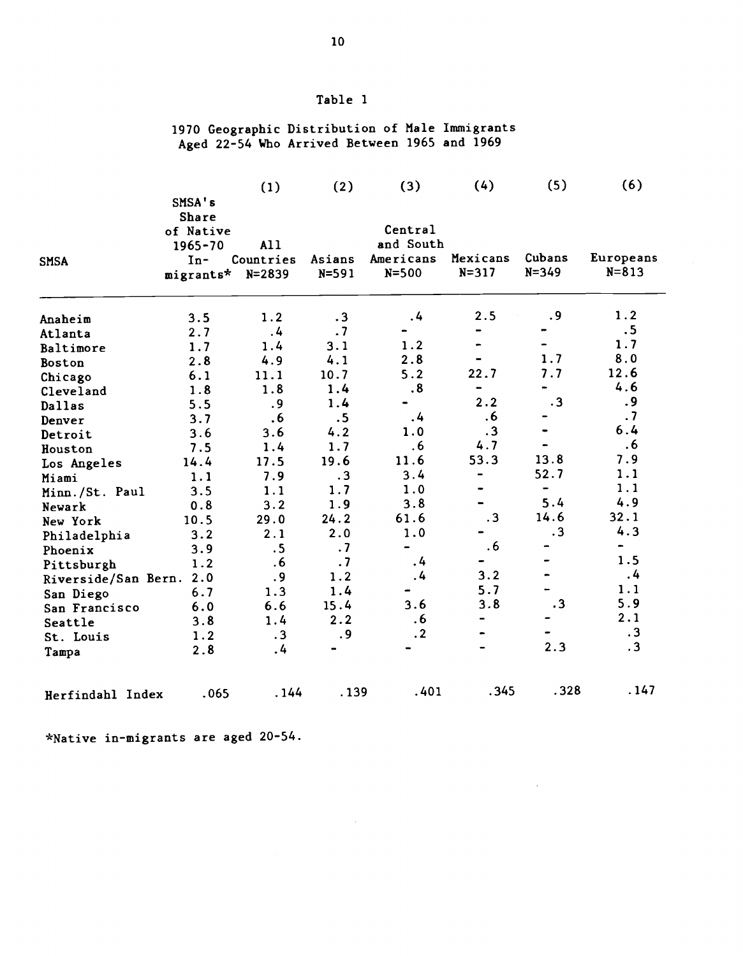# Table 1

### 1970 Geographic Distribution of Male Immigrants Aged 22-54 Who Arrived Between 1965 and 1969

|                     |              | (1)        | (2)       | (3)                          | (4)            | (5)                          | (6)                      |
|---------------------|--------------|------------|-----------|------------------------------|----------------|------------------------------|--------------------------|
|                     | SMSA's       |            |           |                              |                |                              |                          |
|                     | <b>Share</b> |            |           |                              |                |                              |                          |
|                     | of Native    |            |           | Central                      |                |                              |                          |
|                     | $1965 - 70$  | All        |           | and South                    |                |                              |                          |
| <b>SMSA</b>         | $In-$        | Countries  | Asians    | Americans                    | Mexicans       | Cubans                       | Europeans                |
|                     | migrants*    | $N = 2839$ | $N = 591$ | $N = 500$                    | $N = 317$      | $N = 349$                    | $N = 813$                |
| Anaheim             | 3.5          | 1.2        | $\cdot$ 3 | .4                           | 2.5            | .9                           | 1.2                      |
| Atlanta             | 2.7          | .4         | .7        |                              |                |                              | .5                       |
| Baltimore           | 1.7          | 1.4        | 3.1       | 1.2                          |                |                              | 1.7                      |
| Boston              | 2.8          | 4.9        | 4.1       | 2.8                          |                | 1.7                          | 8.0                      |
| Chicago             | 6.1          | 11.1       | 10.7      | 5.2                          | 22.7           | 7.7                          | 12.6                     |
| Cleveland           | 1.8          | 1.8        | 1.4       | .8                           | -              |                              | 4.6                      |
| Dallas              | 5.5          | .9         | 1.4       | $\qquad \qquad \blacksquare$ | 2.2            | $\cdot$ 3                    | .9                       |
| Denver              | 3.7          | .6         | .5        | .4                           | .6             |                              | .7                       |
| Detroit             | 3.6          | 3.6        | 4.2       | 1.0                          | $\cdot$ 3      |                              | 6.4                      |
| Houston             | 7.5          | 1.4        | 1.7       | .6                           | 4.7            |                              | .6                       |
| Los Angeles         | 14.4         | 17.5       | 19.6      | 11.6                         | 53.3           | 13.8                         | 7.9                      |
| Miami               | 1.1          | 7.9        | $\cdot$ 3 | 3.4                          | $\blacksquare$ | 52.7                         | 1.1                      |
| Minn./St. Paul      | 3.5          | 1.1        | 1.7       | 1.0                          |                | $\qquad \qquad \blacksquare$ | 1.1                      |
| Newark              | 0.8          | 3.2        | 1.9       | 3.8                          |                | 5.4                          | 4.9                      |
| New York            | 10.5         | 29.0       | 24.2      | 61.6                         | $\cdot$ 3      | 14.6                         | 32.1                     |
| Philadelphia        | 3.2          | 2.1        | 2.0       | 1.0                          |                | $\cdot$ 3                    | 4.3                      |
| Phoenix             | 3.9          | .5         | .7        | -                            | .6             | ۰                            | $\overline{\phantom{0}}$ |
| Pittsburgh          | 1.2          | .6         | .7        | $\cdot$                      | -              |                              | 1.5                      |
| Riverside/San Bern. | 2.0          | .9         | 1.2       | .4                           | 3.2            | $\qquad \qquad \blacksquare$ | $\overline{.4}$          |
| San Diego           | 6.7          | 1.3        | 1.4       |                              | 5.7            |                              | 1.1                      |
| San Francisco       | 6.0          | 6.6        | 15.4      | 3.6                          | 3.8            | .3                           | 5.9                      |
| Seattle             | 3.8          | 1.4        | 2.2       | .6                           |                | -                            | 2.1                      |
| St. Louis           | 1.2          | .3         | .9        | $\cdot$ 2                    | $\bullet$      |                              | .3                       |
| Tampa               | 2.8          | $\cdot$    |           |                              | $\blacksquare$ | 2.3                          | .3                       |
| Herfindahl Index    | .065         | . 144      | .139      | .401                         | .345           | .328                         | .147                     |

 $\sim 10$ 

 $\bar{z}$ 

\*Native in-migrants are aged 20-54.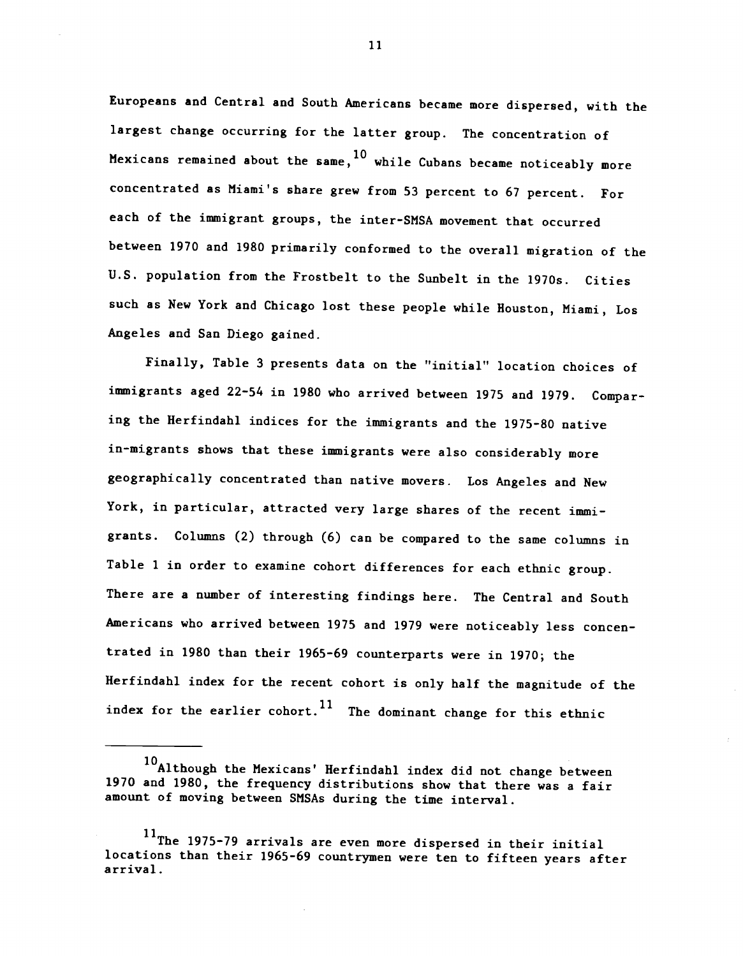Europeans and Central and South Americans became more dispersed, with the largest change occurring for the latter group. The concentration of Mexicans remained about the same,  $^{10}$  while Cubans became noticeably more concentrated as Miami's share grew from 53 percent to 67 percent. For each of the immigrant groups, the inter-SMSA movement that occurred between 1970 and 1980 primarily conformed to the overall migration of the U.S. population from the Frostbelt to the Sunbelt in the 1970s. Cities such as New York and Chicago lost these people while Houston, Miami, Los Angeles and San Diego gained.

Finally, Table 3 presents data on the "initial" location choices of immigrants aged 22-54 in 1980 who arrived between 1975 and 1979. Comparing the Herfindahi indices for the immigrants and the 1975-80 native in-migrants shows that these immigrants were also considerably more geographically concentrated than native movers. Los Angeles and New York, in particular, attracted very large shares of the recent immigrants. Columns (2) through (6) can be compared to the same columns in Table 1 in order to examine cohort differences for each ethnic group. There are a number of interesting findings here. The Central and South Americans who arrived between 1975 and 1979 were noticeably less concentrated in 1980 than their 1965-69 counterparts were in 1970; the Herfindahi index for the recent cohort is only half the magnitude of the index for the earlier cohort.<sup>11</sup> The dominant change for this ethnic

<sup>10&</sup>lt;br>Although the Mexicans' Herfindahl index did not change between 1970 and 1980, the frequency distributions show that there was a fair amount of moving between SMSAs during the time interval.

<sup>11</sup>The 1975-79 arrivals are even more dispersed in their initial locations than their 1965-69 countrymen were ten to fifteen years after arrival.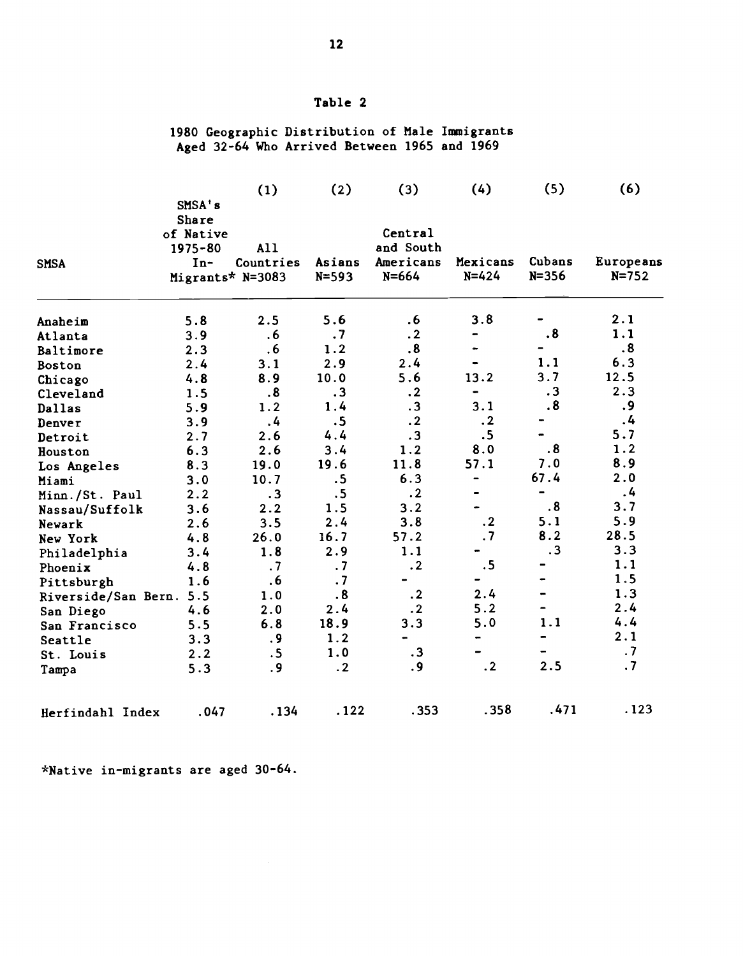## Table 2

### 1980 Geographic Distribution of Male Immigrants Aged 32-64 Who Arrived Between 1965 and 1969

|                         |                  | (1)               | (2)       | (3)       | (4)            | (5)                      | (6)       |
|-------------------------|------------------|-------------------|-----------|-----------|----------------|--------------------------|-----------|
|                         | SMSA's           |                   |           |           |                |                          |           |
|                         | Share            |                   |           |           |                |                          |           |
|                         | of Native        |                   |           | Central   |                |                          |           |
|                         | $1975 - 80$      | A11               |           | and South |                |                          |           |
| <b>SMSA</b>             | $In-$            | Countries         | Asians    | Americans | Mexicans       | Cubans                   | Europeans |
|                         | Migrants* N=3083 |                   | $N = 593$ | $N = 664$ | $N = 424$      | $N = 356$                | $N = 752$ |
| Anaheim                 | 5.8              | 2.5               | 5.6       | .6        | 3.8            |                          | 2.1       |
| Atlanta                 | 3.9              | .6                | .7        | $\cdot$ 2 |                | $\boldsymbol{.8}$        | 1.1       |
| Baltimore               | 2.3              | .6                | 1.2       | .8        |                |                          | $\cdot$ 8 |
| Boston                  | 2.4              | 3.1               | 2.9       | 2.4       |                | 1.1                      | 6.3       |
| Chicago                 | 4.8              | 8.9               | 10.0      | 5.6       | 13.2           | 3.7                      | 12.5      |
| Cleveland               | 1.5              | $\boldsymbol{.8}$ | $\cdot$ 3 | $\cdot$ 2 | $\blacksquare$ | .3                       | 2.3       |
| Dallas                  | 5.9              | 1.2               | 1.4       | $\cdot$ 3 | 3.1            | $\overline{\mathbf{.8}}$ | .9        |
| Denver                  | 3.9              | .4                | .5        | $\cdot$ 2 | $\cdot$ 2      |                          | .4        |
| Detroit                 | 2.7              | 2.6               | 4.4       | $\cdot$ 3 | .5             |                          | 5.7       |
| Houston                 | 6.3              | 2.6               | 3.4       | 1.2       | 8.0            | $\overline{\mathbf{.8}}$ | 1.2       |
| Los Angeles             | 8.3              | 19.0              | 19.6      | 11.8      | 57.1           | 7.0                      | 8.9       |
| Miami                   | 3.0              | 10.7              | .5        | 6.3       | -              | 67.4                     | 2.0       |
| Minn./St. Paul          | 2.2              | $\cdot$ 3         | .5        | $\cdot$ 2 |                | $\overline{\phantom{0}}$ | .4        |
| Nassau/Suffolk          | 3.6              | 2.2               | 1.5       | 3.2       |                | .8                       | 3.7       |
| Newark                  | 2.6              | 3.5               | 2.4       | 3.8       | $\cdot$ 2      | 5.1                      | 5.9       |
| New York                | 4.8              | 26.0              | 16.7      | 57.2      | .7             | 8.2                      | 28.5      |
| Philadelphia            | 3.4              | 1.8               | 2.9       | 1.1       |                | $\cdot$ 3                | 3.3       |
| Phoenix                 | 4.8              | .7                | .7        | $\cdot$ 2 | .5             |                          | 1.1       |
| Pittsburgh              | 1.6              | .6                | .7        |           |                |                          | 1.5       |
| Riverside/San Bern. 5.5 |                  | 1.0               | .8        | $\cdot$ 2 | 2.4            |                          | 1.3       |
| San Diego               | 4.6              | 2.0               | 2.4       | $\cdot$ 2 | 5.2            |                          | 2.4       |
| San Francisco           | 5.5              | 6.8               | 18.9      | 3.3       | 5.0            | 1.1                      | 4.4       |
| Seattle                 | 3.3              | .9                | 1.2       |           |                |                          | 2.1       |
| St. Louis               | 2.2              | .5                | 1.0       | $\cdot$ 3 |                |                          | $\cdot$ 7 |
| Tampa                   | 5.3              | .9                | .2        | .9        | $\cdot$ 2      | 2.5                      | $\cdot$ 7 |
| Herfindahl Index        | .047             | .134              | .122      | .353      | .358           | .471                     | .123      |

\*Native in-migrants are aged 30-64.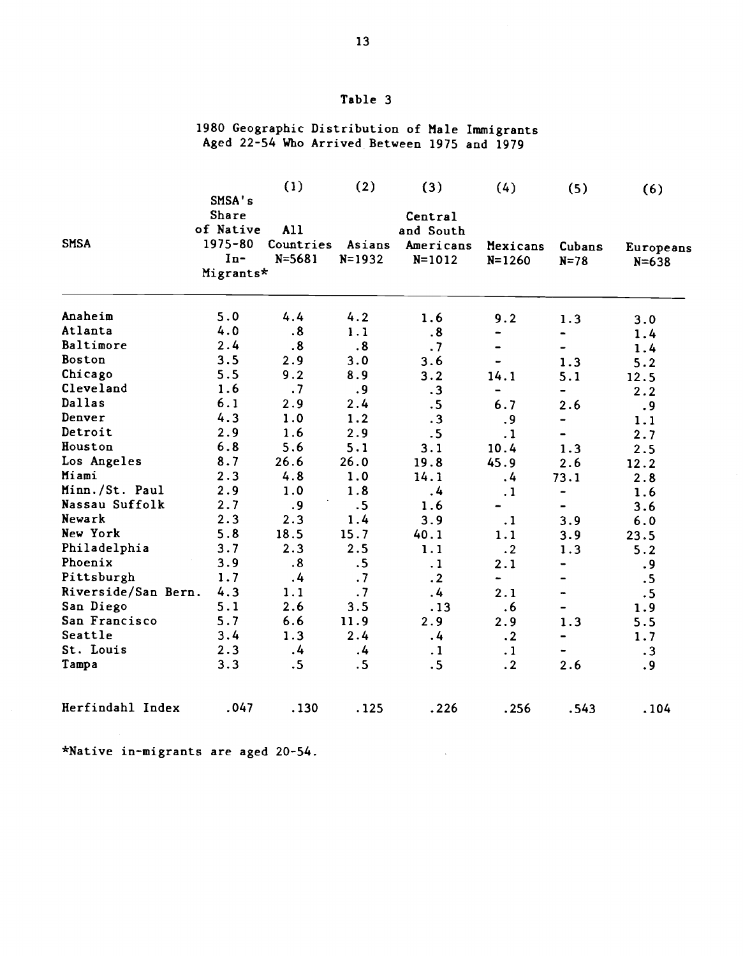# Table 3

### 1980 Geographic Distribution of Male Immigrants Aged 22-54 Who Arrived Between 1975 and 1979

|                     |              | (1)               | (2)        | (3)               | (4)        | (5)                      | (6)       |
|---------------------|--------------|-------------------|------------|-------------------|------------|--------------------------|-----------|
|                     | SMSA's       |                   |            |                   |            |                          |           |
|                     | <b>Share</b> |                   |            | Central           |            |                          |           |
|                     | of Native    | A11               |            | and South         |            |                          |           |
| <b>SMSA</b>         | 1975-80      | Countries         | Asians     | Americans         | Mexicans   | Cubans                   | Europeans |
|                     | $In-$        | $N = 5681$        | $N = 1932$ | $N = 1012$        | $N = 1260$ | $N = 78$                 | $N = 638$ |
|                     | Migrants*    |                   |            |                   |            |                          |           |
|                     |              |                   |            |                   |            |                          |           |
| Anaheim             | 5.0          | 4.4               | 4.2        | 1.6               | 9.2        | 1.3                      | 3.0       |
| Atlanta             | 4.0          | $\boldsymbol{.8}$ | 1.1        | $\boldsymbol{.8}$ |            |                          | 1.4       |
| Baltimore           | 2.4          | .8                | .8         | .7                |            |                          | 1.4       |
| Boston              | 3.5          | 2.9               | 3.0        | 3.6               |            | 1.3                      | 5.2       |
| Chicago             | 5.5          | 9.2               | 8.9        | 3.2               | 14.1       | 5.1                      | 12.5      |
| Cleveland           | 1.6          | .7                | .9         | $\cdot$ 3         |            |                          | 2.2       |
| Dallas              | 6.1          | 2.9               | 2.4        | .5                | 6.7        | 2.6                      | .9        |
| Denver              | 4.3          | 1.0               | 1.2        | $\cdot$ 3         | .9         | $\overline{\phantom{0}}$ | 1.1       |
| Detroit             | 2.9          | 1.6               | 2.9        | .5                | $\cdot$ 1  |                          | 2.7       |
| Houston             | 6.8          | 5.6               | 5.1        | 3.1               | 10.4       | 1.3                      | 2.5       |
| Los Angeles         | 8.7          | 26.6              | 26.0       | 19.8              | 45.9       | 2.6                      | 12.2      |
| Miami               | 2.3          | 4.8               | 1.0        | 14.1              | $\cdot$    | 73.1                     | 2.8       |
| Minn./St. Paul      | 2.9          | 1.0               | 1.8        | $\overline{4}$    | $\cdot$ 1  |                          | 1.6       |
| Nassau Suffolk      | 2.7          | .9                | .5         | 1.6               |            |                          | 3.6       |
| Newark              | 2.3          | 2.3               | 1.4        | 3.9               | $\cdot$ 1  | 3.9                      | 6.0       |
| New York            | 5.8          | 18.5              | 15.7       | 40.1              | 1.1        | 3.9                      | 23.5      |
| Philadelphia        | 3.7          | 2.3               | 2.5        | 1.1               | $\cdot$ 2  | 1.3                      | 5.2       |
| Phoenix             | 3.9          | $\boldsymbol{.8}$ | .5         | $\cdot$ 1         | 2.1        |                          | .9        |
| Pittsburgh          | 1.7          | .4                | .7         | $\cdot$ 2         | ۰.         |                          | .5        |
| Riverside/San Bern. | 4.3          | 1.1               | .7         | $\cdot$           | 2.1        |                          | .5        |
| San Diego           | 5.1          | 2.6               | 3.5        | .13               | .6         |                          | 1.9       |
| San Francisco       | 5.7          | 6.6               | 11.9       | 2.9               | 2.9        | 1.3                      | 5.5       |
| Seattle             | 3.4          | 1.3               | 2.4        | .4                | $\cdot$ 2  |                          | 1.7       |
| St. Louis           | 2.3          | $\cdot$ 4         | $\cdot$    | $\cdot$ 1         | $\cdot$ 1  |                          | .3        |
| Tampa               | 3.3          | .5                | .5         | .5                | $\cdot$ 2  | 2.6                      | .9        |
| Herfindahl Index    | .047         | .130              | .125       | .226              | .256       | .543                     | .104      |

 $\mathcal{A}$ 

\*Native in-migrants are aged 20-54.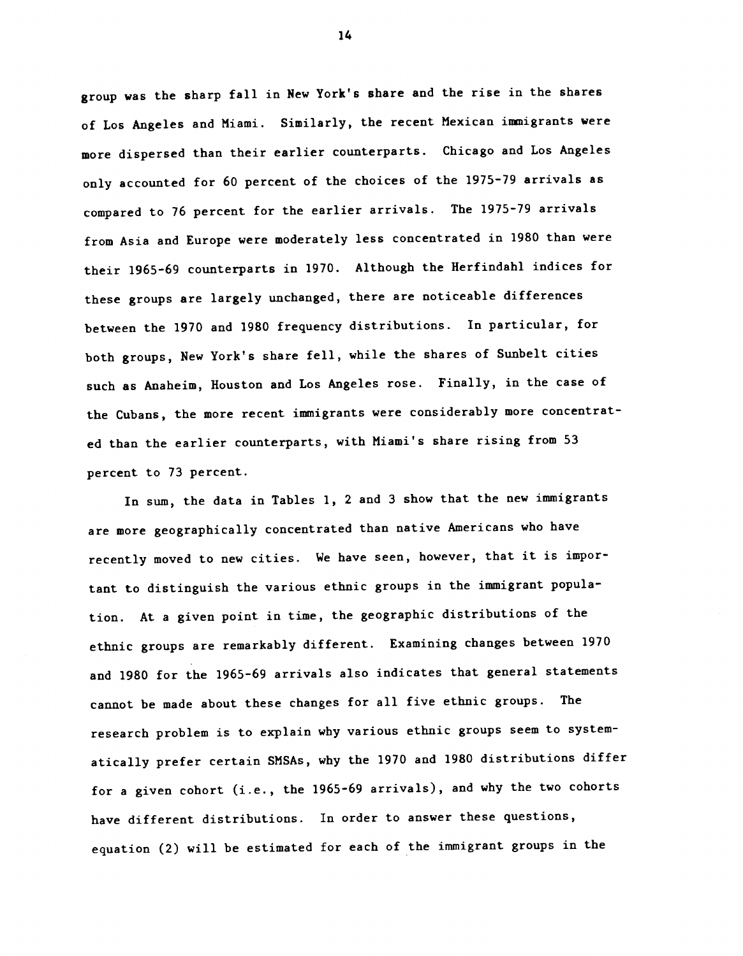group was the sharp fall in New York's share and the rise in the shares of Los Angeles and Miami. Similarly, the recent Mexican immigrants were more dispersed than their earlier counterparts. Chicago and Los Angeles only accounted for 60 percent of the choices of the 1975-79 arrivals as compared to 76 percent for the earlier arrivals. The 1975-79 arrivals from Asia and Europe were moderately less concentrated in 1980 than were their 1965-69 counterparts in 1970. Although the Herfindahl indices for these groups are largely unchanged, there are noticeable differences between the 1970 and 1980 frequency distributions. In particular, for both groups, New York's share fell, while the shares of Sunbelt cities such as Anaheim, Houston and Los Angeles rose. Finally, in the case of the Cubans, the more recent immigrants were considerably more concentrated than the earlier counterparts, with Miami's share rising from 53 percent to 73 percent.

In sum, the data in Tables 1, 2 and 3 show that the new immigrants are more geographically concentrated than native Americans who have recently moved to new cities. We have seen, however, that it is important to distinguish the various ethnic groups in the immigrant population. At a given point in time, the geographic distributions of the ethnic groups are remarkably different. Examining changes between 1970 and 1980 for the 1965-69 arrivals also indicates that general statements cannot be made about these changes for all five ethnic groups. The research problem is to explain why various ethnic groups seem to systematically prefer certain SMSAs, why the 1970 and 1980 distributions differ for a given cohort (i.e., the 1965-69 arrivals), and why the two cohorts have different distributions. In order to answer these questions, equation (2) will be estimated for each of the immigrant groups in the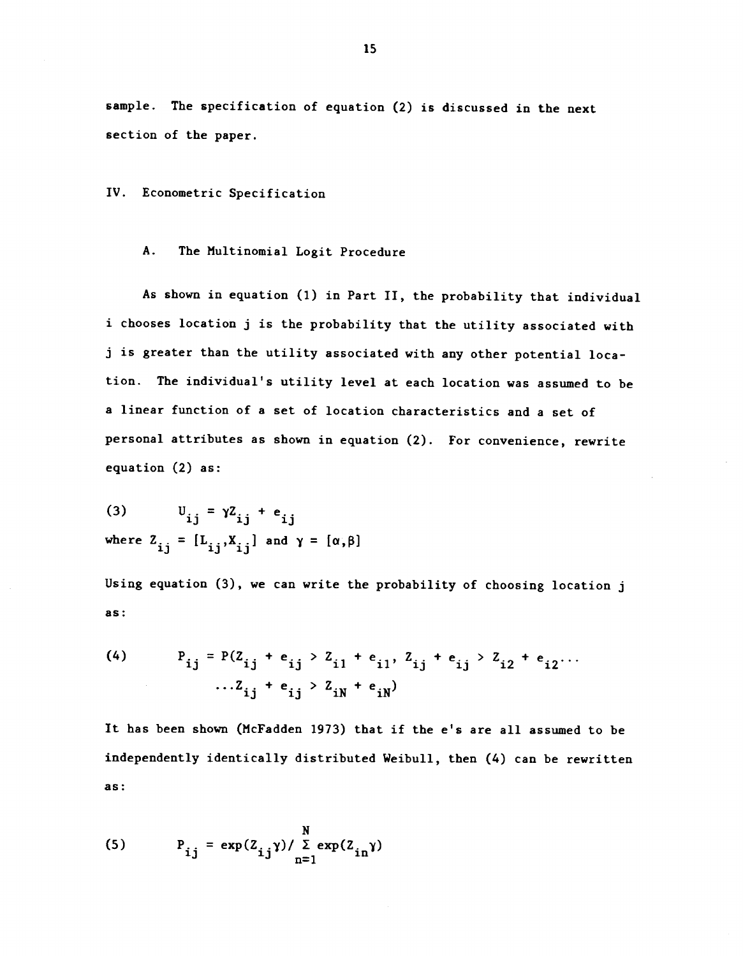sample. The specification of equation (2) is discussed in the next section of the paper.

IV. Econometric Specification

## A. The Multinomial Logit Procedure

As shown in equation (1) in Part II, the probability that individual i chooses location j is the probability that the utility associated with j is greater than the utility associated with any other potential location. The individual's utility level at each location was assumed to be a linear function of a set of location characteristics and a set of personal attributes as shown in equation (2). For convenience, rewrite equation (2) as:

(3)  $U_{ij} = \gamma Z_{ij} + e_{ij}$ where  $Z_{ij} = [L_{ij}, X_{ij}]$  and  $\gamma = [\alpha, \beta]$ 

Using equation (3), we can write the probability of choosing location j as:

(4) 
$$
P_{ij} = P(Z_{ij} + e_{ij} > Z_{i1} + e_{i1}, Z_{ij} + e_{ij} > Z_{i2} + e_{i2} \cdots
$$
  
... $Z_{ij} + e_{ij} > Z_{iN} + e_{iN}$ 

It has been shown (McFadden 1973) that if the c's are all assumed to be independently identically distributed Weibull, then (4) can be rewritten as:

(5) 
$$
P_{ij} = \exp(Z_{ij}\gamma) / \sum_{n=1}^{N} \exp(Z_{in}\gamma)
$$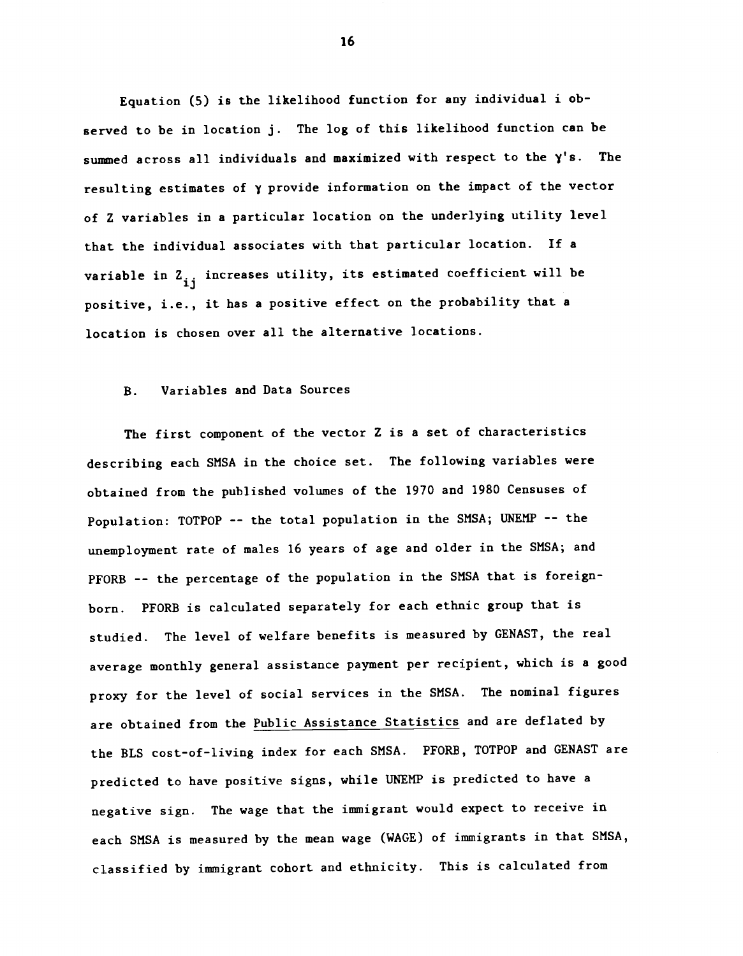Equation (5) is the likelihood function for any individual i observed to be in location j. The log of this likelihood function can be summed across all individuals and maximized with respect to the  $\gamma'$ s. The resulting estimates of y provide information on the impact of the vector of Z variables in a particular location on the underlying utility level that the individual associates with that particular location. If a variable in  $\mathbf{Z_{ij}}$  increases utility, its estimated coefficient will be positive, i.e., it has a positive effect on the probability that a location is chosen over all the alternative locations.

### B. Variables and Data Sources

The first component of the vector Z is a set of characteristics describing each SMSA in the choice set. The following variables were obtained from the published volumes of the 1970 and 1980 Censuses of Population: TOTPOP -- the total population in the SHSA; UNEMP -- the unemployment rate of males 16 years of age and older in the SMSA; and PFORB -- the percentage of the population in the SMSA that is foreignborn. PFORB is calculated separately for each ethnic group that is studied. The level of welfare benefits is measured by GENAST, the real average monthly general assistance payment per recipient, which is a good proxy for the level of social services in the SMSA. The nominal figures are obtained from the Public Assistance Statistics and are deflated by the BLS cost-of-living index for each SMSA. PFORB, TOTPOP and GENAST are predicted to have positive signs, while UNEMP is predicted to have a negative sign. The wage that the immigrant would expect to receive in each SMSA is measured by the mean wage (WAGE) of immigrants in that SMSA, classified by immigrant cohort and ethnicity. This is calculated from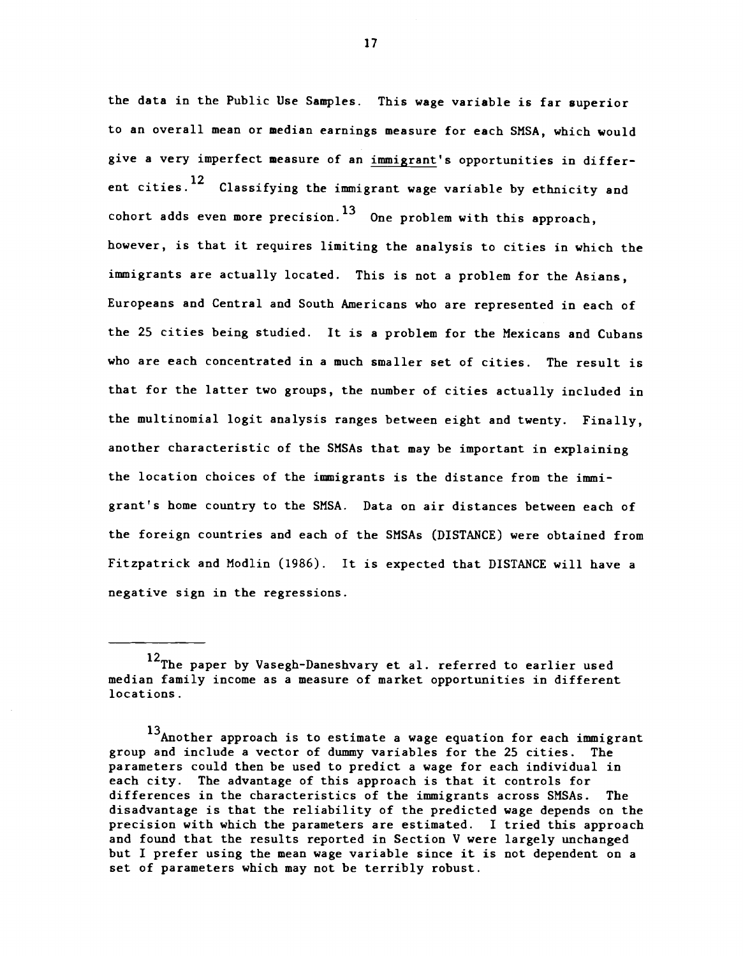the data in the Public Use Samples. This wage variable is far superior to an overall mean or median earnings measure for each SMSA, which would give a very imperfect measure of an immigrant's opportunities in different cities.<sup>12</sup> Classifying the immigrant wage variable by ethnicity and cohort adds even more precision.<sup>13</sup> One problem with this approach, however, is that it requires limiting the analysis to cities in which the immigrants are actually located. This is not a problem for the Asians, Europeans and Central and South Americans who are represented in each of the 25 cities being studied. It is a problem for the Mexicans and Cubans who are each concentrated in a much smaller set of cities. The result is that for the latter two groups, the number of cities actually included in the multinomial logit analysis ranges between eight and twenty. Finally, another characteristic of the SMSAs that may be important in explaining the location choices of the immigrants is the distance from the immigrant's home country to the SMSA. Data on air distances between each of the foreign countries and each of the SMSAs (DISTANCE) were obtained from Fitzpatrick and Nodlin (1986). It is expected that DISTANCE will have a negative sign in the regressions.

<sup>12</sup>The paper by Vasegh-Daneshvary et al. referred to earlier used median family income as a measure of market opportunities in different locations.

<sup>13</sup>Another approach is to estimate a wage equation for each immigrant group and include a vector of dummy variables for the 25 cities. The parameters could then be used to predict a wage for each individual in each city. The advantage of this approach is that it controls for differences in the characteristics of the immigrants across SMSAs. The disadvantage is that the reliability of the predicted wage depends on the precision with which the parameters are estimated. I tried this approach and found that the results reported in Section V were largely unchanged but I prefer using the mean wage variable since it is not dependent on a set of parameters which may not be terribly robust.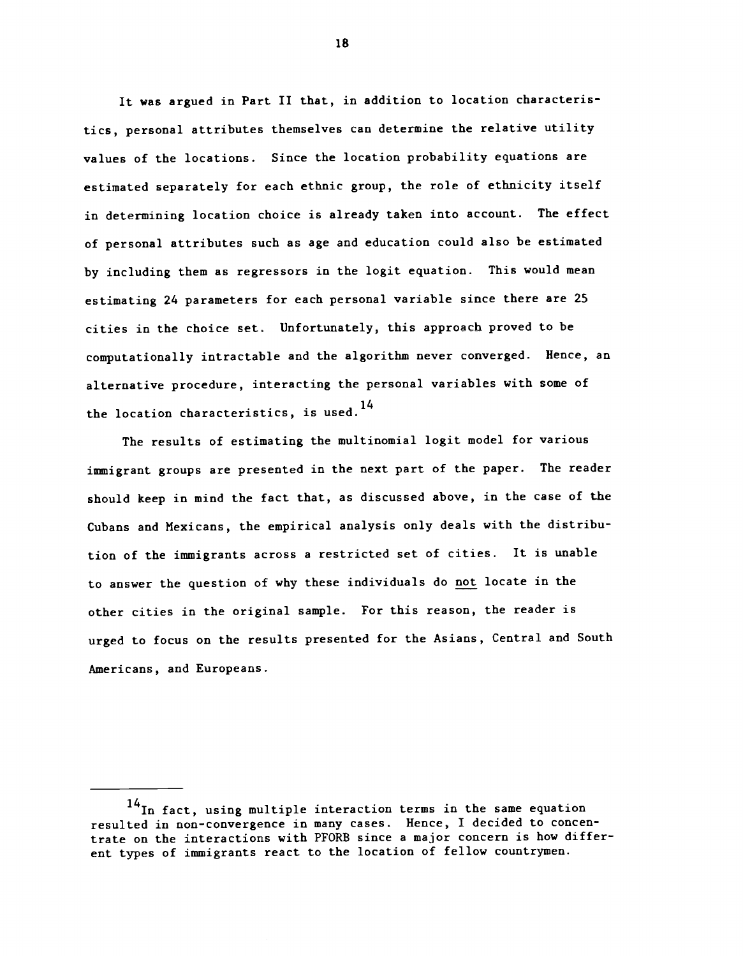It was argued in Part II that, in addition to location characteristics, personal attributes themselves can determine the relative utility values of the locations. Since the location probability equations are estimated separately for each ethnic group, the role of ethnicity itself in determining location choice is already taken into account. The effect of personal attributes such as age and education could also be estimated by including them as regressors in the logit equation. This would mean estimating 24 parameters for each personal variable since there are 25 cities in the choice set. Unfortunately, this approach proved to be computationally intractable and the algorithm never converged. Hence, an alternative procedure, interacting the personal variables with some of the location characteristics, is used.<sup>14</sup>

The results of estimating the multinomial logit model for various immigrant groups are presented in the next part of the paper. The reader should keep in mind the fact that, as discussed above, in the case of the Cubans and Mexicans, the empirical analysis only deals with the distribution of the immigrants across a restricted set of cities. It is unable to answer the question of why these individuals do not locate in the other cities in the original sample. For this reason, the reader is urged to focus on the results presented for the Asians, Central and South Americans, and Europeans.

 $14$ In fact, using multiple interaction terms in the same equation resulted in non-convergence in many cases. Hence, I decided to concentrate on the interactions with PFORB since a major concern is how different types of immigrants react to the location of fellow countrymen.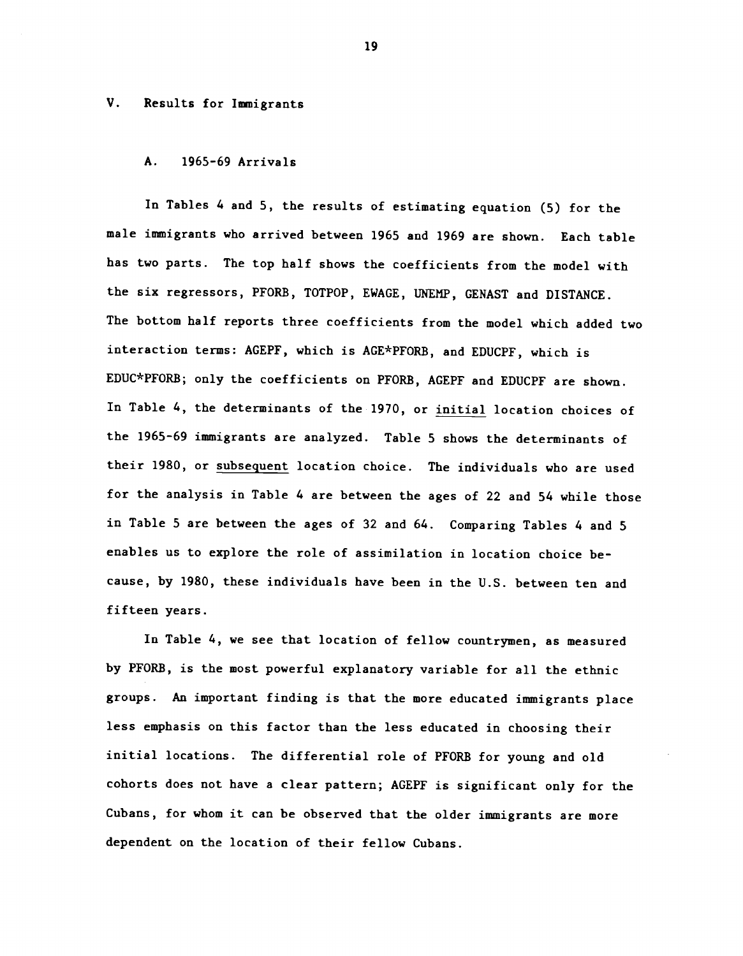#### V. Results for Immigrants

### A. 1965-69 Arrivals

In Tables 4 and 5, the results of estimating equation (5) for the male immigrants who arrived between 1965 and 1969 are shown. Each table has two parts. The top half shows the coefficients from the model with the six regressors, PFORB, TOTPOP, EWAGE, UNEMP, GENAST and DISTANCE. The bottom half reports three coefficients from the model which added two interaction terms: AGEPF, which is AGE\*PFORB, and EDUCPF, which is EDUC\*PFORB; only the coefficients on PFORB, AGEPF and EDUCPF are shown. In Table 4, the determinants of the 1970, or initial location choices of the 1965-69 immigrants are analyzed. Table 5 shows the determinants of their 1980, or subsequent location choice. The individuals who are used for the analysis in Table 4 are between the ages of 22 and 54 while those in Table 5 are between the ages of 32 and 64. Comparing Tables 4 and 5 enables us to explore the role of assimilation in location choice because, by 1980, these individuals have been in the U.S. between ten and fifteen years.

In Table 4, we see that location of fellow countrymen, as measured by PFORB, is the most powerful explanatory variable for all the ethnic groups. An important finding is that the more educated immigrants place less emphasis on this factor than the less educated in choosing their initial locations. The differential role of PFORB for young and old cohorts does not have a clear pattern; AGEPF is significant only for the Cubans, for whom it can be observed that the older immigrants are more dependent on the location of their fellow Cubans.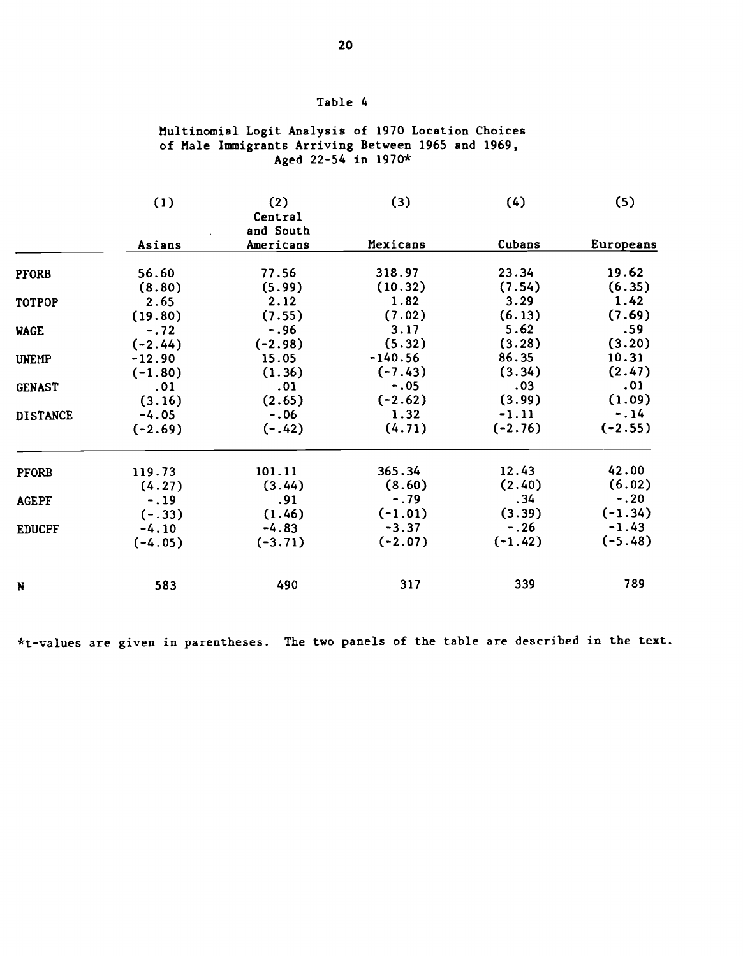## Table 4

## Multinomial Logit Analysis of 1970 Location Choices of Male Immigrants Arriving Between 1965 and 1969, Aged 22-54 in 1970\*

|                 | (1)       | (2)<br>Central<br>and South | (3)       | (4)       | (5)       |
|-----------------|-----------|-----------------------------|-----------|-----------|-----------|
|                 | Asians    | Americans                   | Mexicans  | Cubans    | Europeans |
| <b>PFORB</b>    | 56.60     | 77.56                       | 318.97    | 23.34     | 19.62     |
|                 | (8.80)    | (5.99)                      | (10.32)   | (7.54)    | (6.35)    |
| TOTPOP          | 2.65      | 2.12                        | 1.82      | 3.29      | 1.42      |
|                 | (19.80)   | (7.55)                      | (7.02)    | (6.13)    | (7.69)    |
| <b>WAGE</b>     | $-.72$    | $-.96$                      | 3.17      | 5.62      | .59       |
|                 | $(-2.44)$ | $(-2.98)$                   | (5.32)    | (3.28)    | (3.20)    |
| <b>UNEMP</b>    | $-12.90$  | 15.05                       | $-140.56$ | 86.35     | 10.31     |
|                 | $(-1.80)$ | (1.36)                      | $(-7.43)$ | (3.34)    | (2.47)    |
| <b>GENAST</b>   | .01       | .01                         | $-.05$    | .03       | .01       |
|                 | (3.16)    | (2.65)                      | $(-2.62)$ | (3.99)    | (1.09)    |
| <b>DISTANCE</b> | $-4.05$   | $-.06$                      | 1.32      | $-1.11$   | $-.14$    |
|                 | $(-2.69)$ | $(-.42)$                    | (4.71)    | $(-2.76)$ | $(-2.55)$ |
| <b>PFORB</b>    | 119.73    | 101.11                      | 365.34    | 12.43     | 42.00     |
|                 | (4.27)    | (3.44)                      | (8.60)    | (2.40)    | (6.02)    |
| <b>AGEPF</b>    | $-.19$    | .91                         | $-.79$    | .34       | $-.20$    |
|                 | $(-.33)$  | (1.46)                      | $(-1.01)$ | (3.39)    | $(-1.34)$ |
| <b>EDUCPF</b>   | $-4.10$   | $-4.83$                     | $-3.37$   | $-.26$    | $-1.43$   |
|                 | $(-4.05)$ | $(-3.71)$                   | $(-2.07)$ | $(-1.42)$ | $(-5.48)$ |
| N               | 583       | 490                         | 317       | 339       | 789       |

\*t\_values are given in parentheses. The two panels of the table are described in the text.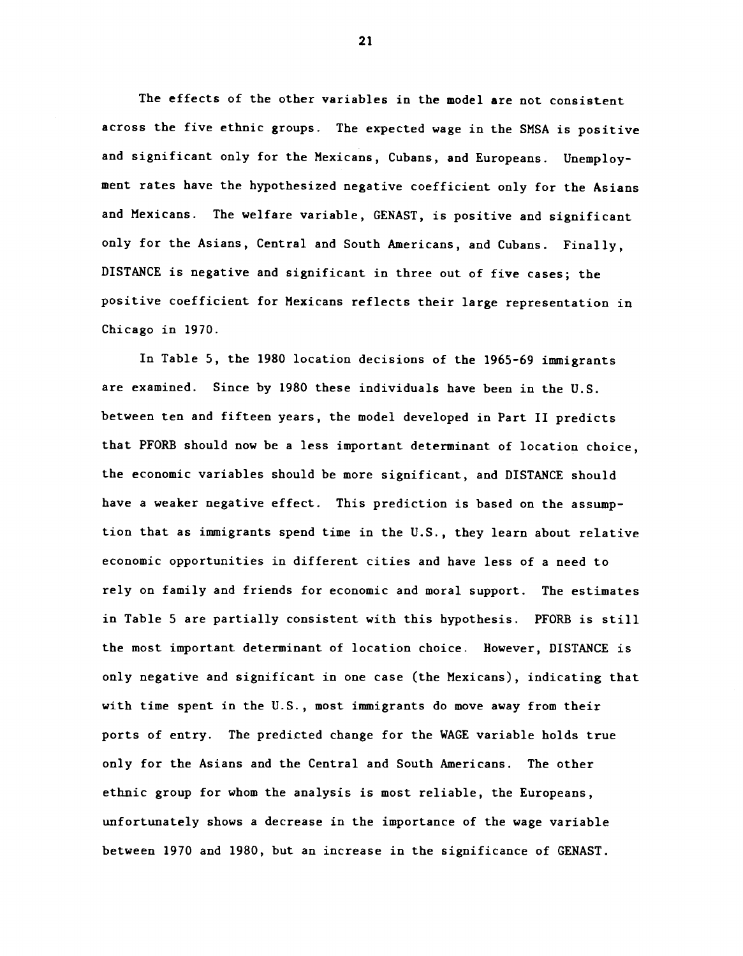The effects of the other variables in the model are not consistent across the five ethnic groups. The expected wage in the SMSA is positive and significant only for the Mexicans, Cubans, and Europeans. Unemployment rates have the hypothesized negative coefficient only for the Asians and Mexicans. The welfare variable, GENAST, is positive and significant only for the Asians, Central and South Americans, and Cubans. Finally, DISTANCE is negative and significant in three out of five cases; the positive coefficient for Mexicans reflects their large representation in Chicago in 1970.

In Table 5, the 1980 location decisions of the 1965—69 immigrants are examined. Since by 1980 these individuals have been in the U.S. between ten and fifteen years, the model developed in Part II predicts that PFORB should now be a less important determinant of location choice, the economic variables should be more significant, and DISTANCE should have a weaker negative effect. This prediction is based on the assumption that as immigrants spend time in the U.S., they learn about relative economic opportunities in different cities and have less of a need to rely on family and friends for economic and moral support. The estimates in Table 5 are partially consistent with this hypothesis. PFORB is still the most important determinant of location choice. However, DISTANCE is only negative and significant in one case (the Mexicans), indicating that with time spent in the U.S., most immigrants do move away from their ports of entry. The predicted change for the WAGE variable holds true only for the Asians and the Central and South Americans. The other ethnic group for whom the analysis is most reliable, the Europeans, unfortunately shows a decrease in the importance of the wage variable between 1970 and 1980, but an increase in the significance of GENAST.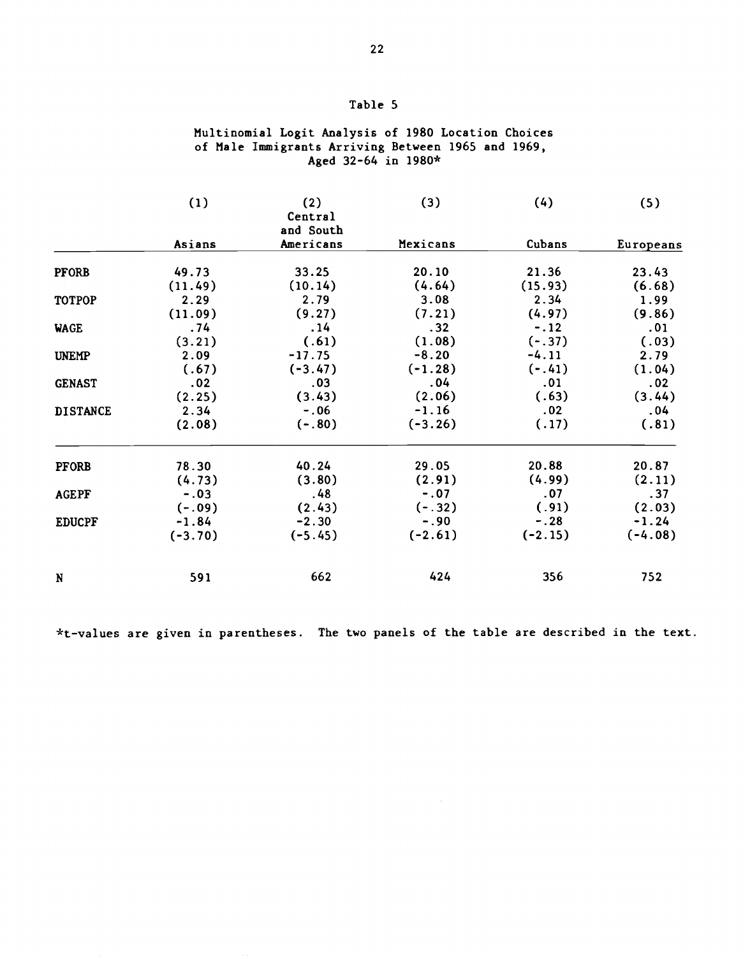## Table 5

## Multinomial Logit Analysis of 1980 Location Choices of Male Immigrants Arriving Between 1965 and 1969, Aged 32-64 in 1980\*

|                 | (1)       | (2)<br>Central<br>and South | (3)       | (4)       | (5)       |
|-----------------|-----------|-----------------------------|-----------|-----------|-----------|
|                 | Asians    | Americans                   | Mexicans  | Cubans    | Europeans |
| <b>PFORB</b>    | 49.73     | 33.25                       | 20.10     | 21.36     | 23.43     |
|                 | (11.49)   | (10.14)                     | (4.64)    | (15.93)   | (6.68)    |
| <b>TOTPOP</b>   | 2.29      | 2.79                        | 3.08      | 2.34      | 1.99      |
|                 | (11.09)   | (9.27)                      | (7.21)    | (4.97)    | (9.86)    |
| <b>WAGE</b>     | .74       | .14                         | .32       | $-.12$    | .01       |
|                 | (3.21)    | (.61)                       | (1.08)    | $(-.37)$  | (.03)     |
| <b>UNEMP</b>    | 2.09      | $-17.75$                    | $-8.20$   | $-4.11$   | 2.79      |
|                 | (.67)     | $(-3.47)$                   | $(-1.28)$ | $(-.41)$  | (1.04)    |
| <b>GENAST</b>   | .02       | .03                         | .04       | .01       | .02       |
|                 | (2.25)    | (3.43)                      | (2.06)    | (.63)     | (3.44)    |
| <b>DISTANCE</b> | 2.34      | $-.06$                      | $-1.16$   | .02       | .04       |
|                 | (2.08)    | $(-.80)$                    | $(-3.26)$ | (.17)     | (.81)     |
| <b>PFORB</b>    | 78.30     | 40.24                       | 29.05     | 20.88     | 20.87     |
|                 | (4.73)    | (3.80)                      | (2.91)    | (4.99)    | (2.11)    |
| <b>AGEPF</b>    | $-.03$    | .48                         | $-.07$    | .07       | .37       |
|                 | $(-.09)$  | (2.43)                      | $(-.32)$  | (.91)     | (2.03)    |
| <b>EDUCPF</b>   | $-1.84$   | $-2.30$                     | $-.90$    | $-.28$    | $-1.24$   |
|                 | $(-3.70)$ | $(-5.45)$                   | $(-2.61)$ | $(-2.15)$ | $(-4.08)$ |
| N               | 591       | 662                         | 424       | 356       | 752       |

\*t\_values are given in parentheses. The two panels of the table are described in the text.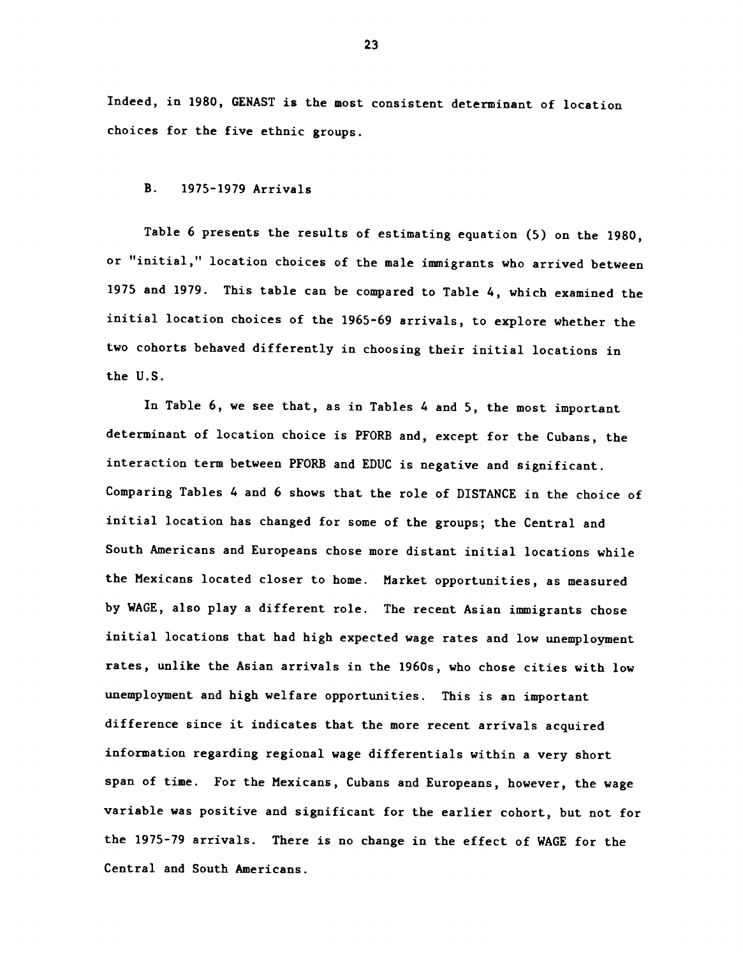Indeed, in 1980, GENAST is the most consistent determinant of location choices for the five ethnic groups.

#### B. 1975-1979 Arrivals

Table 6 presents the results of estimating equation (5) on the 1980, or "initial," location choices of the male immigrants who arrived between 1975 and 1979. This table can be compared to Table 4, which examined the initial location choices of the 1965-69 arrivals, to explore whether the two cohorts behaved differently in choosing their initial locations in the U.S.

In Table 6, we see that, as in Tables 4 and 5, the most important determinant of location choice is PFORB and, except for the Cubans, the interaction term between PFORB and EDUC is negative and significant. Comparing Tables 4 and 6 shows that the role of DISTANCE in the choice of initial location has changed for some of the groups; the Central and South Americans and Europeans chose more distant initial locations while the Mexicans located closer to home. Market opportunities, as measured by WAGE, also play a different role. The recent Asian immigrants chose initial locations that had high expected wage rates and low unemployment rates, unlike the Asian arrivals in the 1960s, who chose cities with low unemployment and high welfare opportunities. This is an important difference since it indicates that the more recent arrivals acquired information regarding regional wage differentials within a very short span of time. For the Mexicans, Cubans and Europeans, however, the wage variable was positive and significant for the earlier cohort, but not for the 1975-79 arrivals. There is no change in the effect of WAGE for the Central and South Americans.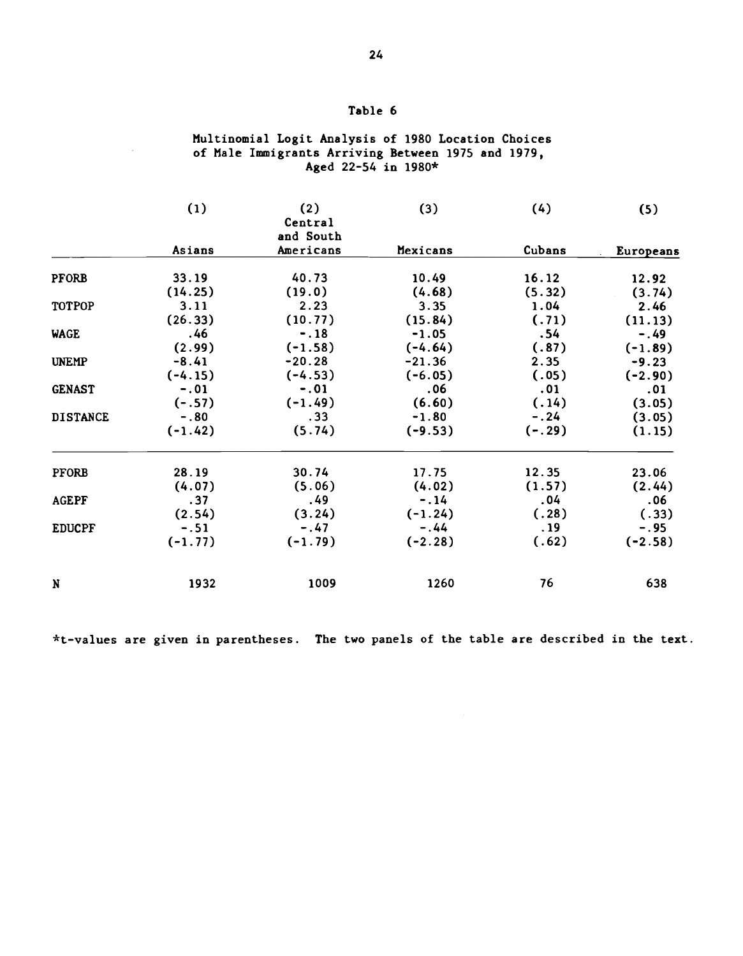# Table 6

## Multinomial Logit Analysis of 1980 Location Choices of Male Immigrants Arriving Between 1975 and 1979, Aged 22-54 in 1980\*

|                 | (1)       | (2)<br>Central<br>and South | (3)       | (4)      | (5)       |
|-----------------|-----------|-----------------------------|-----------|----------|-----------|
|                 | Asians    | Americans                   | Mexicans  | Cubans   | Europeans |
| <b>PFORB</b>    | 33.19     | 40.73                       | 10.49     | 16.12    | 12.92     |
|                 | (14.25)   | (19.0)                      | (4.68)    | (5.32)   | (3.74)    |
| TOTPOP          | 3.11      | 2.23                        | 3.35      | 1.04     | 2.46      |
|                 | (26.33)   | (10.77)                     | (15.84)   | (.71)    | (11.13)   |
| <b>WAGE</b>     | .46       | $-.18$                      | $-1.05$   | .54      | $-.49$    |
|                 | (2.99)    | $(-1.58)$                   | $(-4.64)$ | (.87)    | $(-1.89)$ |
| <b>UNEMP</b>    | $-8.41$   | $-20.28$                    | $-21.36$  | 2.35     | $-9.23$   |
|                 | $(-4.15)$ | $(-4.53)$                   | $(-6.05)$ | (.05)    | $(-2.90)$ |
| <b>GENAST</b>   | $-.01$    | $-.01$                      | .06       | .01      | .01       |
|                 | $(-.57)$  | $(-1.49)$                   | (6.60)    | (.14)    | (3.05)    |
| <b>DISTANCE</b> | $-.80$    | .33                         | $-1.80$   | $-.24$   | (3.05)    |
|                 | $(-1.42)$ | (5.74)                      | $(-9.53)$ | $(-.29)$ | (1.15)    |
| <b>PFORB</b>    | 28.19     | 30.74                       | 17.75     | 12.35    | 23.06     |
|                 | (4.07)    | (5.06)                      | (4.02)    | (1.57)   | (2.44)    |
| <b>AGEPF</b>    | .37       | .49                         | $-.14$    | .04      | .06       |
|                 | (2.54)    | (3.24)                      | $(-1.24)$ | (.28)    | (.33)     |
| <b>EDUCPF</b>   | $-.51$    | $-.47$                      | $-.44$    | . 19     | $-.95$    |
|                 | $(-1.77)$ | $(-1.79)$                   | $(-2.28)$ | (.62)    | $(-2.58)$ |
| N               | 1932      | 1009                        | 1260      | 76       | 638       |

\*t-values are given in parentheses. The two panels of the table are described in the text.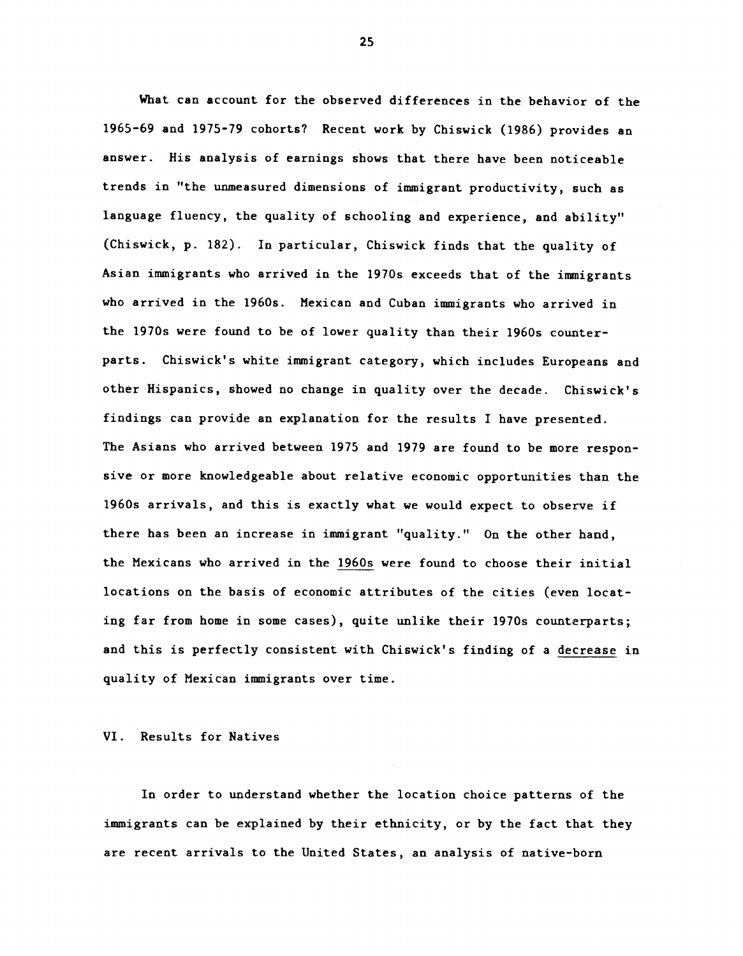What can account for the observed differences in the behavior of the 1965—69 and 1975-79 cohorts? Recent work by Chiswick (1986) provides an answer. His analysis of earnings shows that there have been noticeable trends in "the unmeasured dimensions of immigrant productivity, such as language fluency, the quality of schooling and experience, and ability" (Chiswick, p. 182). In particular, Chiswick finds that the quality of Asian immigrants who arrived in the 1970s exceeds that of the immigrants who arrived in the 1960s. Mexican and Cuban immigrants who arrived in the 1970s were found to be of lower quality than their 1960s counterparts. Chiswick's white immigrant category, which includes Europeans and other Hispanics, showed no change in quality over the decade. Chiswick's findings can provide an explanation for the results I have presented. The Asians who arrived between 1975 and 1979 are found to be more responsive or more knowledgeable about relative economic opportunities than the 1960s arrivals, and this is exactly what we would expect to observe if there has been an increase in immigrant "quality." On the other hand, the Mexicans who arrived in the 1960s were found to choose their initial locations on the basis of economic attributes of the cities (even locating far from home in some cases), quite unlike their 1970s counterparts; and this is perfectly consistent with Chiswick's finding of a decrease in quality of Mexican immigrants over time.

VI. Results for Natives

In order to understand whether the location choice patterns of the immigrants can be explained by their ethnicity, or by the fact that they are recent arrivals to the United States, an analysis of native-born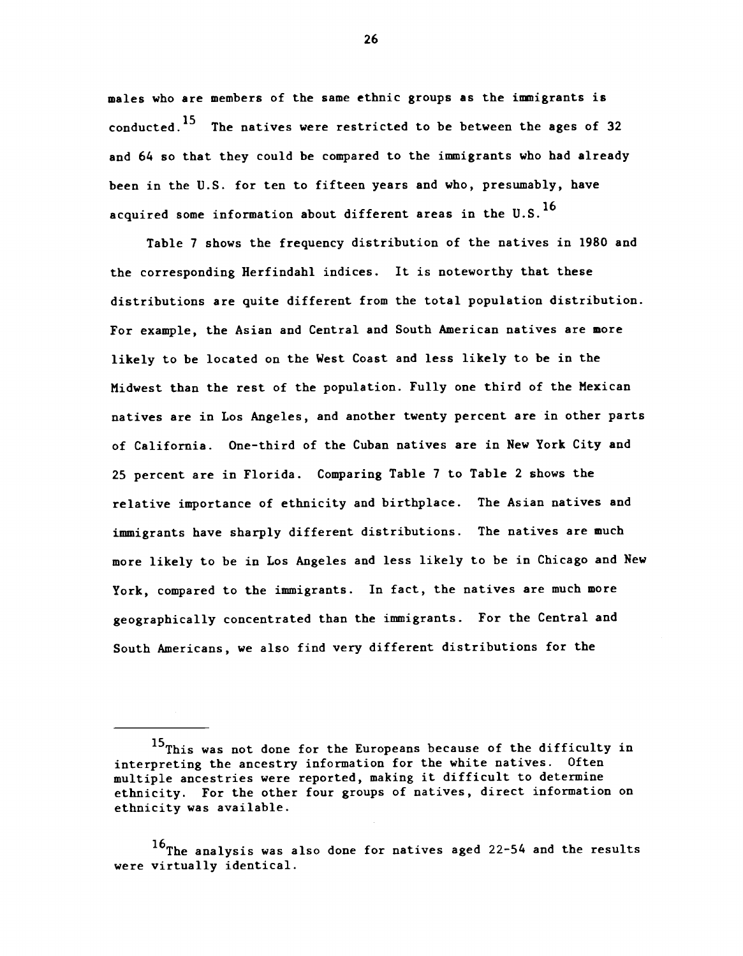males who are members of the same ethnic groups as the immigrants is conducted.15 The natives were restricted to be between the ages of 32 and 64 so that they could be compared to the immigrants who had already been in the U.S. for ten to fifteen years and who, presumably, have acquired some information about different areas in the U.S.  $^{16}$ 

Table 7 shows the frequency distribution of the natives in 1980 and the corresponding Herfindahl indices. It is noteworthy that these distributions are quite different from the total population distribution. For example, the Asian and Central and South American natives are more likely to be located on the West Coast and less likely to be in the Midwest than the rest of the population. Fully one third of the Mexican natives are in Los Angeles, and another twenty percent are in other parts of California. One-third of the Cuban natives are in New York City and 25 percent are in Florida. Comparing Table 7 to Table 2 shows the relative importance of ethnicity and birthplace. The Asian natives and immigrants have sharply different distributions. The natives are much more likely to be in Los Angeles and less likely to be in Chicago and New York, compared to the immigrants. In fact, the natives are much more geographically concentrated than the immigrants. For the Central and South Americans, we also find very different distributions for the

<sup>&</sup>lt;sup>15</sup>This was not done for the Europeans because of the difficulty in interpreting the ancestry information for the white natives. Often multiple ancestries were reported, making it difficult to determine ethnicity. For the other four groups of natives, direct information on ethnicity was available.

<sup>16</sup>The analysis was also done for natives aged 22-54 and the results were virtually identical.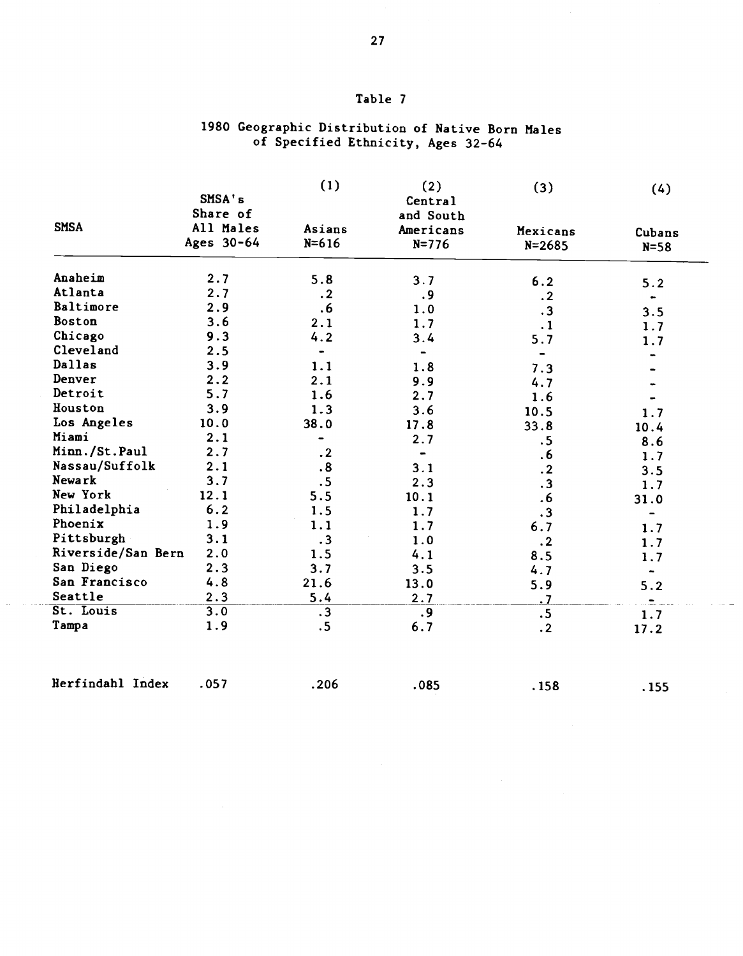# Table <sup>7</sup>

## 1980 Geographic Distribution of Native Born Males of Specified Ethnicity, Ages 32-64

|                    | SMSA's<br>Share of      | (1)                          | (2)<br>Central<br>and South | (3)                    | (4)              |
|--------------------|-------------------------|------------------------------|-----------------------------|------------------------|------------------|
| <b>SMSA</b>        | All Males<br>Ages 30-64 | Asians<br>$N = 616$          | Americans<br>$N = 776$      | Mexicans<br>$N = 2685$ | Cubans<br>$N=58$ |
| Anaheim            | 2.7                     | 5.8                          | 3.7                         | 6.2                    | 5.2              |
| Atlanta            | 2.7                     | .2                           | . 9                         | $\cdot$ 2              |                  |
| Baltimore          | 2.9                     | .6                           | 1.0                         | $\cdot$ 3              | 3.5              |
| Boston             | 3.6                     | 2.1                          | 1.7                         | $\cdot$ 1              | 1.7              |
| Chicago            | 9.3                     | 4.2                          | 3.4                         | 5.7                    | 1.7              |
| Cleveland          | 2.5                     | $\qquad \qquad \blacksquare$ |                             |                        |                  |
| Dallas             | 3.9                     | 1.1                          | 1.8                         | 7.3                    |                  |
| Denver             | 2.2                     | 2.1                          | 9.9                         | 4.7                    |                  |
| Detroit            | 5.7                     | 1.6                          | 2.7                         | 1.6                    |                  |
| Houston            | 3.9                     | 1.3                          | 3.6                         | 10.5                   | 1.7              |
| Los Angeles        | 10.0                    | 38.0                         | 17.8                        | 33.8                   | 10.4             |
| Miami              | 2.1                     |                              | 2.7                         | .5                     | 8.6              |
| Minn./St.Paul      | 2.7                     | $\cdot$ 2                    |                             | .6                     | 1.7              |
| Nassau/Suffolk     | 2.1                     | $\overline{\mathbf{.8}}$     | 3.1                         | $\cdot$ 2              | 3.5              |
| Newark             | 3.7                     | .5                           | 2.3                         | $\cdot$ 3              | 1.7              |
| New York           | 12.1                    | 5.5                          | 10.1                        | .6                     | 31.0             |
| Philadelphia       | 6.2                     | 1.5                          | 1.7                         | $\cdot$ 3              |                  |
| Phoenix            | 1.9                     | 1.1                          | 1.7                         | 6.7                    | 1.7              |
| Pittsburgh         | 3.1                     | .3                           | 1.0                         | $\cdot$ 2              | 1.7              |
| Riverside/San Bern | 2.0                     | 1.5                          | 4.1                         | 8.5                    | 1.7              |
| San Diego          | 2.3                     | 3.7                          | 3.5                         | 4.7                    | ۰                |
| San Francisco      | 4.8                     | 21.6                         | 13.0                        | 5.9                    | 5.2              |
| Seattle            | 2.3                     | 5.4                          | 2.7                         | .7                     | $\blacksquare$   |
| St. Louis          | 3.0                     | .3                           | .9                          | .5                     | 1.7              |
| Tampa              | 1.9                     | .5                           | 6.7                         | $\cdot$ 2              | 17.2             |

Herfindahl Index .057 .206 .085 .158 .155

 $\sim$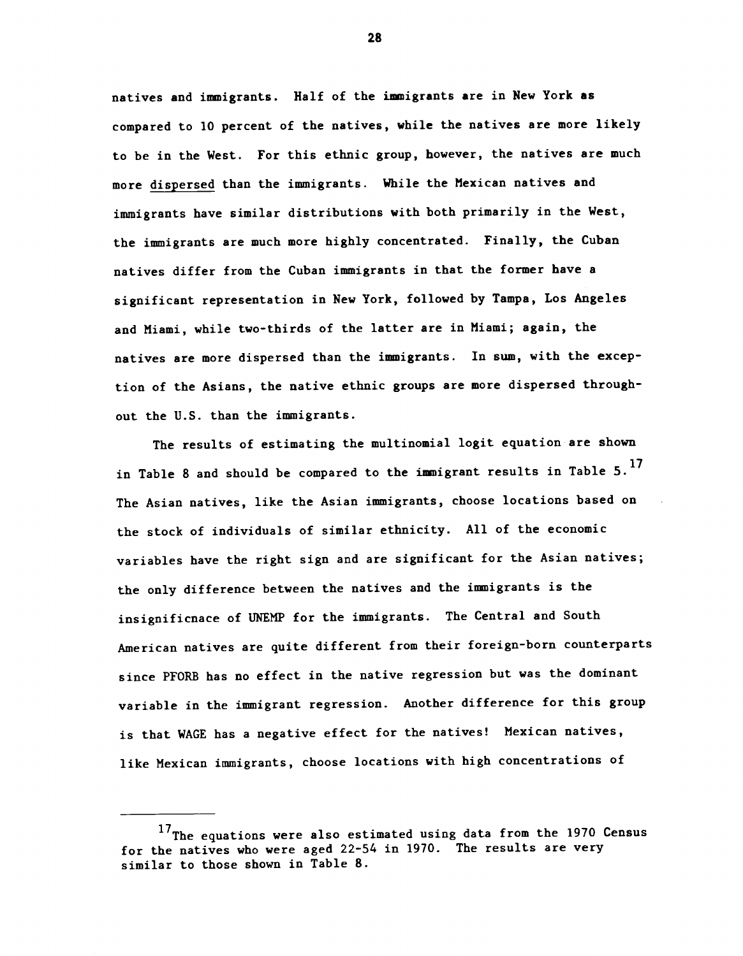natives and immigrants. Half of the immigrants are in New York as compared to 10 percent of the natives, while the natives are more likely to be in the West. For this ethnic group, however, the natives are much more dispersed than the immigrants. While the Mexican natives and immigrants have similar distributions with both primarily in the West, the immigrants are much more highly concentrated. Finally, the Cuban natives differ from the Cuban immigrants in that the former have a significant representation in New York, followed by Tampa, Los Angeles and Miami, while two-thirds of the latter are in Miami; again, the natives are more dispersed than the immigrants. In sum, with the exception of the Asians, the native ethnic groups are more dispersed throughout the U.S. than the immigrants.

The results of estimating the multinomial logit equation are shown in Table 8 and should be compared to the immigrant results in Table  $5.^{17}$ The Asian natives, like the Asian immigrants, choose locations based on the stock of individuals of similar ethnicity. All of the economic variables have the right sign and are significant for the Asian natives; the only difference between the natives and the immigrants is the insignificnace of UNEMP for the immigrants. The Central and South American natives are quite different from their foreign-born counterparts since PPORB has no effect in the native regression but was the dominant variable in the immigrant regression. Another difference for this group is that WAGE has a negative effect for the natives! Mexican natives, like Mexican immigrants, choose locations with high concentrations of

<sup>17</sup>The equations were also estimated using data from the 1970 Census for the natives who were aged 22-54 in 1970. The results are very similar to those shown in Table 8.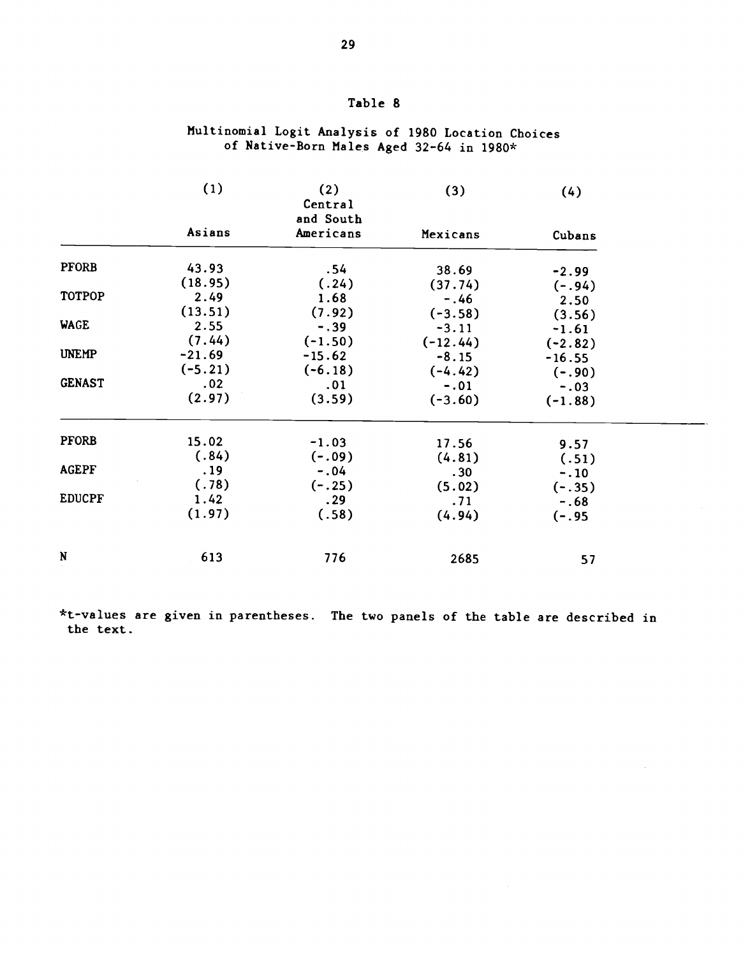|               | (1)       | (2)<br>Central<br>and South | (3)        | (4)       |
|---------------|-----------|-----------------------------|------------|-----------|
|               | Asians    | Americans                   | Mexicans   | Cubans    |
| <b>PFORB</b>  | 43.93     | .54                         | 38.69      | $-2.99$   |
|               | (18.95)   | (.24)                       | (37.74)    | $(-.94)$  |
| <b>TOTPOP</b> | 2.49      | 1.68                        | $-.46$     | 2.50      |
|               | (13.51)   | (7.92)                      | $(-3.58)$  | (3.56)    |
| <b>WAGE</b>   | 2.55      | $-.39$                      | $-3.11$    | $-1.61$   |
|               | (7.44)    | $(-1.50)$                   | $(-12.44)$ | $(-2.82)$ |
| <b>UNEMP</b>  | $-21.69$  | $-15.62$                    | $-8.15$    | $-16.55$  |
|               | $(-5.21)$ | $(-6.18)$                   | $(-4.42)$  | $(-.90)$  |
| <b>GENAST</b> | .02       | .01                         | $-.01$     | $-.03$    |
|               | (2.97)    | (3.59)                      | $(-3.60)$  | $(-1.88)$ |
| <b>PFORB</b>  | 15.02     | $-1.03$                     | 17.56      | 9.57      |
|               | (.84)     | $(-.09)$                    | (4.81)     | (.51)     |
| <b>AGEPF</b>  | .19       | $-.04$                      | .30        | $-.10$    |
|               | (.78)     | $(-.25)$                    | (5.02)     | $(-.35)$  |
| <b>EDUCPF</b> | 1.42      | .29                         | .71        | $-.68$    |
|               | (1.97)    | (.58)                       | (4.94)     | $(-.95)$  |
|               |           |                             |            |           |
| $\mathbf N$   | 613       | 776                         | 2685       | 57        |

# Multinomial Logit Analysis of 1980 Location Choices of Native-Born Males Aged 32-64 in 1980\*

\*t-values are given in parentheses. The two panels of the table are described in the text.

# Table 8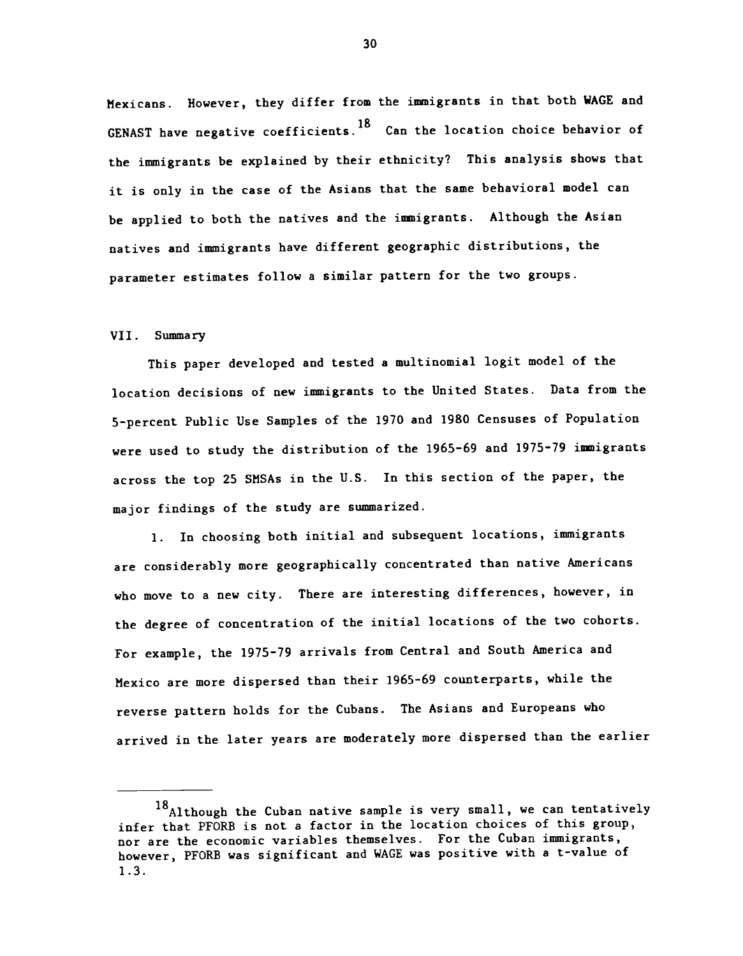Mexicans. However, they differ from the immigrants in that both WAGE and GENAST have negative coefficients.<sup>18</sup> Can the location choice behavior of the immigrants be explained by their ethnicity? This analysis shows that it is only in the case of the Asians that the same behavioral model can be applied to both the natives and the immigrants. Although the Asian natives and immigrants have different geographic distributions, the parameter estimates follow a similar pattern for the two groups.

#### VII. Summary

This paper developed and tested a multinomial logit model of the location decisions of new immigrants to the United States. Data from the 5-percent Public Use Samples of the 1970 and 1980 Censuses of Population were used to study the distribution of the 1965-69 and 1975-79 immigrants across the top 25 SMSAs in the U.S. In this section of the paper, the major findings of the study are summarized.

1. In choosing both initial and subsequent locations, immigrants are considerably more geographically concentrated than native Americans who move to a new city. There are interesting differences, however, in the degree of concentration of the initial locations of the two cohorts. For example, the 1975—79 arrivals from Central and South America and Mexico are more dispersed than their 1965-69 counterparts, while the reverse pattern holds for the Cubans. The Asians and Europeans who arrived in the later years are moderately more dispersed than the earlier

<sup>18</sup> Although the Cuban native sample is very small, we can tentatively infer that PFORB is not a factor in the location choices of this group, nor are the economic variables themselves. For the Cuban immigrants, however, PFORB was significant and WAGE was positive with a t-value of 1.3.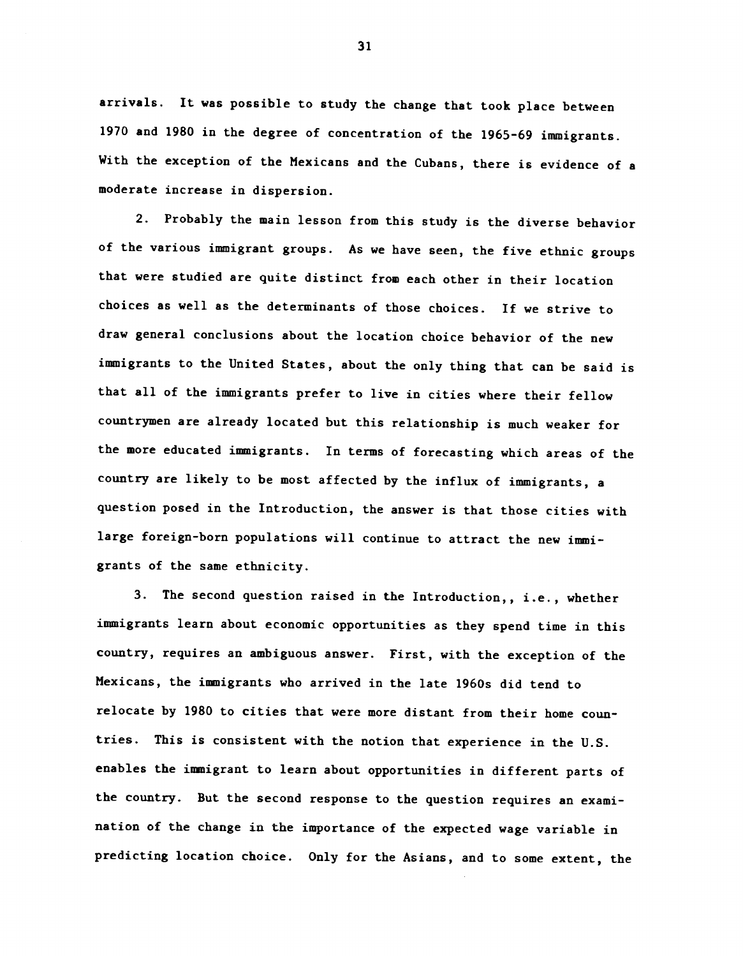arrivals. It was possible to study the change that took place between 1970 and 1980 in the degree of concentration of the 1965-69 immigrants. With the exception of the Mexicans and the Cubans, there is evidence of a moderate increase in dispersion.

2. Probably the main lesson from this study is the diverse behavior of the various immigrant groups. As we have seen, the five ethnic groups that were studied are quite distinct from each other in their location choices as well as the determinants of those choices. If we strive to draw general conclusions about the location choice behavior of the new immigrants to the United States, about the only thing that can be said is that all of the immigrants prefer to live in cities where their fellow countrymen are already located but this relationship is much weaker for the more educated immigrants. In terms of forecasting which areas of the country are likely to be most affected by the influx of immigrants, a question posed in the Introduction, the answer is that those cities with large foreign-born populations will continue to attract the new immigrants of the same ethnicity.

3. The second question raised in the Introduction,, i.e., whether immigrants learn about economic opportunities as they spend time in this country, requires an ambiguous answer. First, with the exception of the Mexicans, the immigrants who arrived in the late 1960s did tend to relocate by 1980 to cities that were more distant from their home countries. This is consistent with the notion that experience in the U.S. enables the immigrant to learn about opportunities in different parts of the country. But the second response to the question requires an examination of the change in the importance of the expected wage variable in predicting location choice. Only for the Asians, and to some extent, the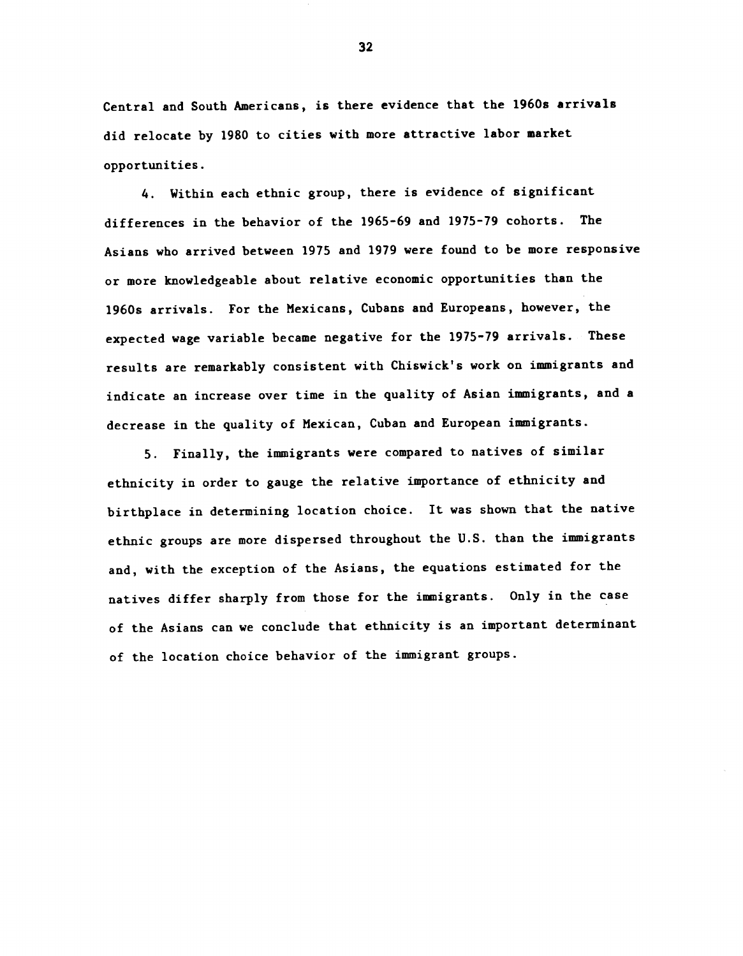Central and South Americans, is there evidence that the 1960s arrivals did relocate by 1980 to cities with more attractive labor market opportunities.

4. Within each ethnic group, there is evidence of significant differences in the behavior of the 1965—69 and 1975-79 cohorts. The Asians who arrived between 1975 and 1979 were found to be more responsive or more knowledgeable about relative economic opportunities than the 1960s arrivals. For the Mexicans, Cubans and Europeans, however, the expected wage variable became negative for the 1975-79 arrivals. These results are remarkably consistent with Chiswick's work on immigrants and indicate an increase over time in the quality of Asian immigrants, and a decrease in the quality of Mexican, Cuban and European immigrants.

5. Finally, the immigrants were compared to natives of similar ethnicity in order to gauge the relative importance of ethnicity and birthplace in determining location choice. It was shown that the native ethnic groups are more dispersed throughout the U.S. than the immigrants and, with the exception of the Asians, the equations estimated for the natives differ sharply from those for the immigrants. Only in the case of the Asians can we conclude that ethnicity is an important determinant of the location choice behavior of the immigrant groups.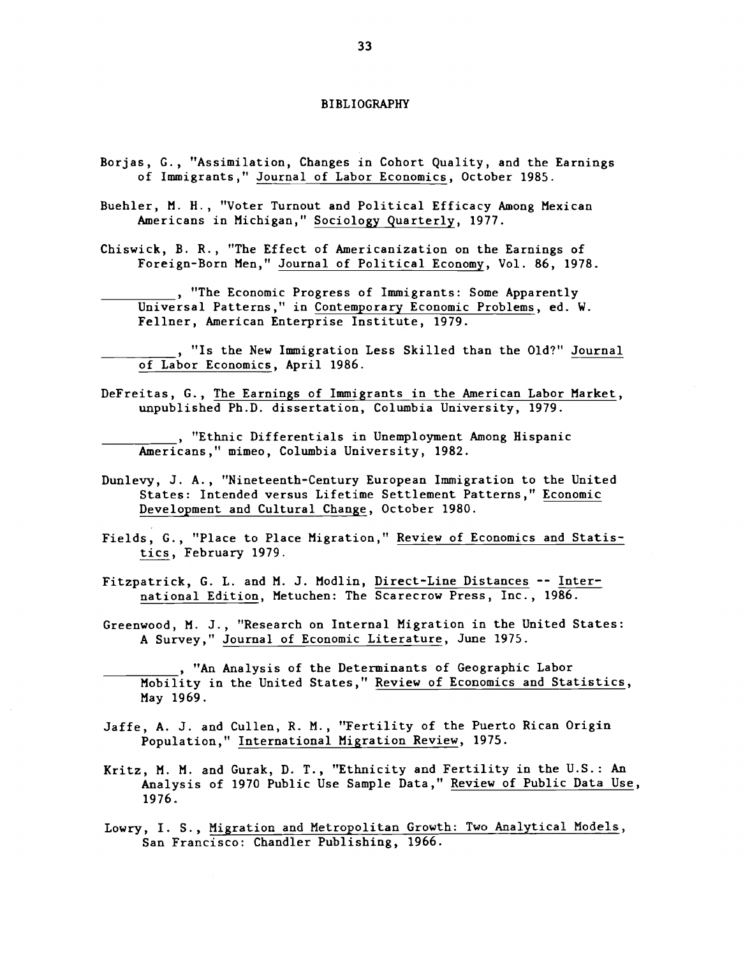#### BIBLIOGRAPHY

- Borjas, C., "Assimilation, Changes in Cohort Quality, and the Earnings of Immigrants," Journal of Labor Economics, October 1985.
- Buehler, N. H. , "Voter Turnout and Political Efficacy Among Mexican Americans in Michigan," Sociology Quarterly, 1977.
- Chiswick, B. R., "The Effect of Americanization on the Earnings of Foreign-Born Men," Journal of Political Economy, Vol. 86, 1978.
	- \_\_\_\_\_\_\_\_\_\_ "The Economic Progress of Immigrants: Some Apparently Universal Patterns," in Contemporary Economic Problems, ed. W. Feliner, American Enterprise Institute, 1979.
- $\frac{1}{\sqrt{2}}$ ,  $\frac{1}{\sqrt{2}}$ ,  $\frac{1}{\sqrt{2}}$ "Is the New Immigration Less Skilled than the Old?" Journal of Labor Economics, April 1986.
- DeFreitas, G., The Earnings of Immigrants in the American Labor Market, unpublished Ph.D. dissertation, Columbia University, 1979.

**Ethnic Differentials in Unemployment Among Hispanic** Americans," mimeo, Columbia University, 1982.

- Dunlevy, J. A., "Nineteenth-Century European Immigration to the United States: Intended versus Lifetime Settlement Patterns," Economic Development and Cultural Change, October 1980.
- Fields, G., "Place to Place Migration," Review of Economics and Statistics, February 1979.
- Fitzpatrick, G. L. and M. J. Modlin, Direct-Line Distances -- International Edition, Metuchen: The Scarecrow Press, Inc., 1986.
- Greenwood, N. J., "Research on Internal Migration in the United States: A Survey," Journal of Economic Literature, June 1975.
	- . "An Analysis of the Determinants of Geographic Labor Mobility in the United States," Review of Economics and Statistics, May 1969.
- Jaffe, A. J. and Cullen, R. M., "Fertility of the Puerto Rican Origin Population," International Migration Review, 1975.
- Kritz, M. M. and Gurak, D. T., "Ethnicity and Fertility in the U.S.: An Analysis of 1970 Public Use Sample Data," Review of Public Data Use, 1976.
- Lowry, I. S., Migration and Metropolitan Growth: Two Analytical Models, San Francisco: Chandler Publishing, 1966.